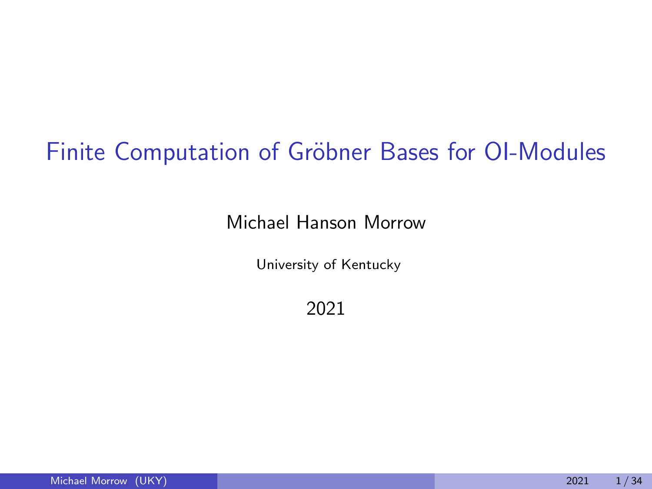# Finite Computation of Gröbner Bases for OI-Modules

#### Michael Hanson Morrow

University of Kentucky

2021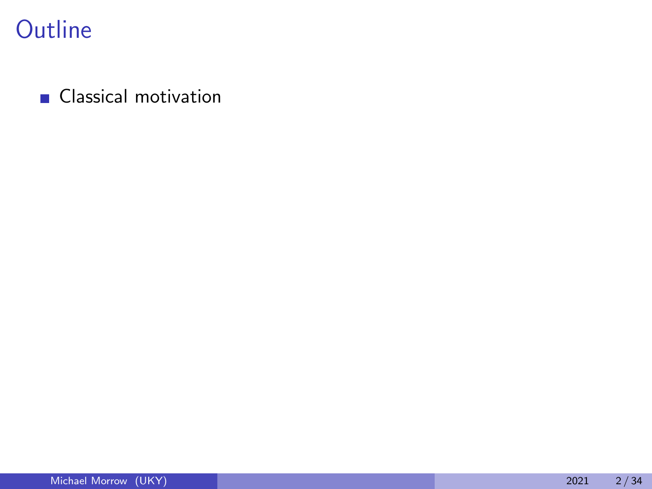**Classical motivation**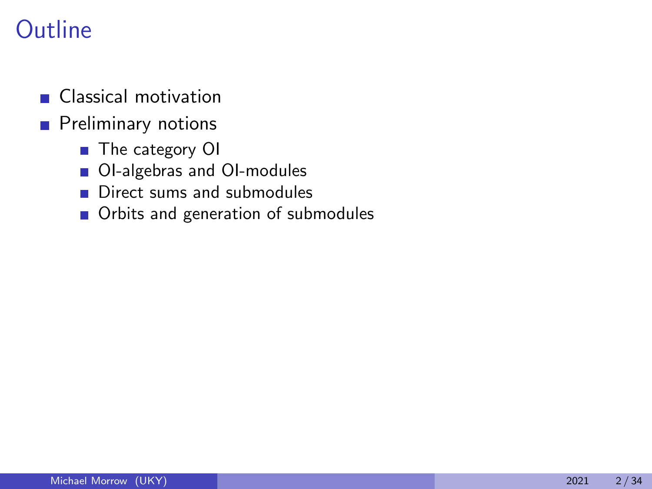- **Classical motivation**
- **Preliminary notions** 
	- The category OI
	- OI-algebras and OI-modules
	- Direct sums and submodules
	- Orbits and generation of submodules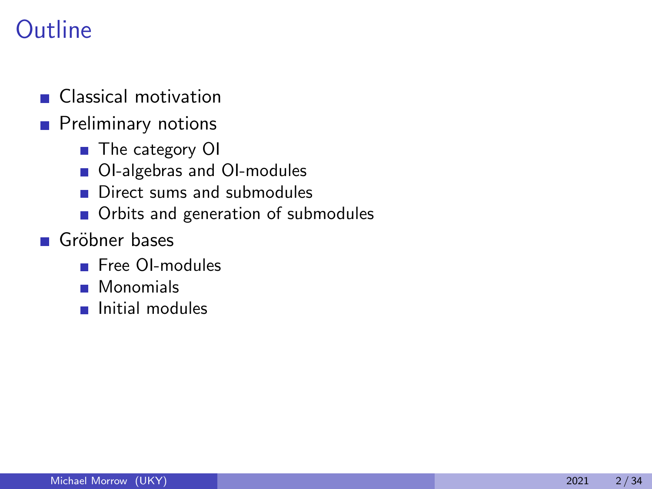- **Classical motivation**
- **Preliminary notions** 
	- The category OI
	- OI-algebras and OI-modules
	- **Direct sums and submodules**
	- Orbits and generation of submodules
- Gröbner bases
	- **Free OI-modules**
	- **Monomials**
	- **Initial modules**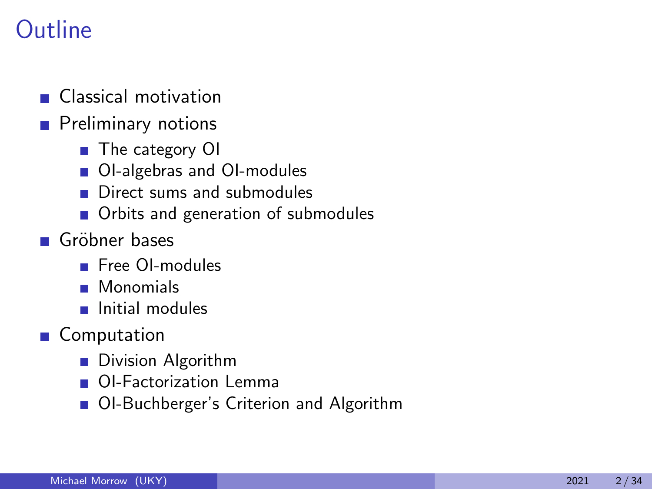Classical motivation

### **Preliminary notions**

- The category OI
- OI-algebras and OI-modules
- Direct sums and submodules  $\mathbf{r}$
- Orbits and generation of submodules
- Gröbner bases
	- **Free OI-modules**
	- **Monomials**
	- **Initial modules**
- Computation
	- **Division Algorithm**
	- **OI-Factorization Lemma**
	- OI-Buchberger's Criterion and Algorithm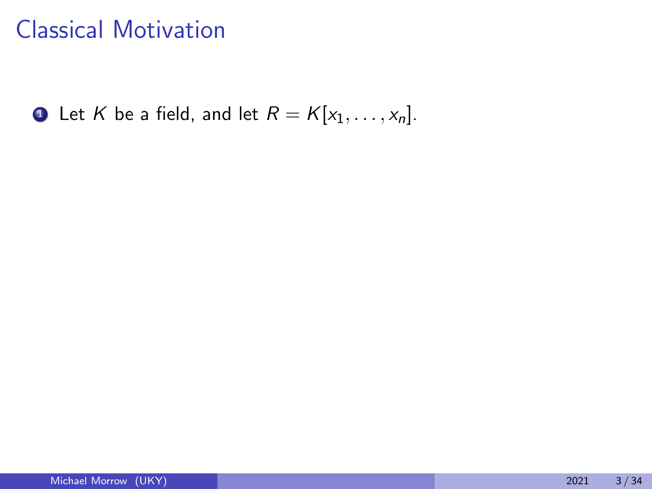**1** Let K be a field, and let  $R = K[x_1, \ldots, x_n]$ .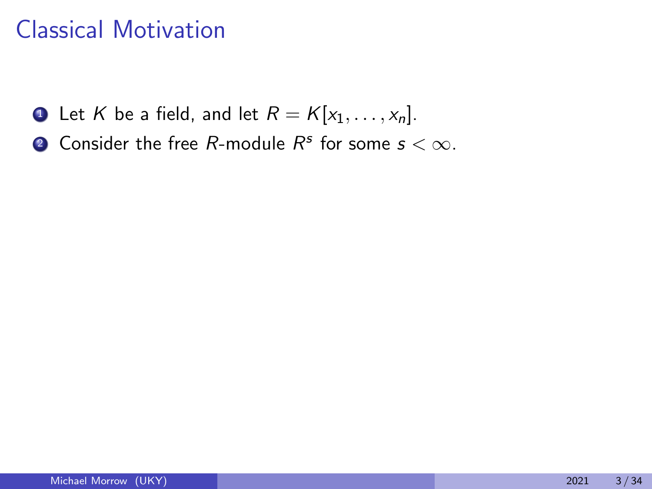- **1** Let K be a field, and let  $R = K[x_1, \ldots, x_n]$ .
- **2** Consider the free R-module  $R^s$  for some  $s < \infty$ .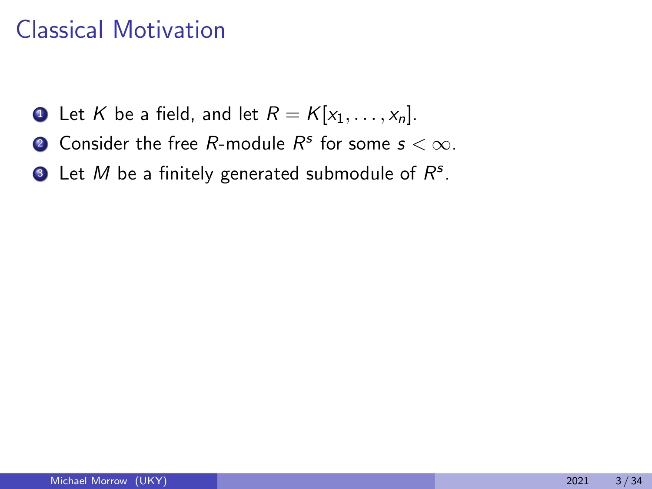- **1** Let K be a field, and let  $R = K[x_1, \ldots, x_n]$ .
- **2** Consider the free R-module  $R^s$  for some  $s < \infty$ .
- **3** Let  $M$  be a finitely generated submodule of  $R^s$ .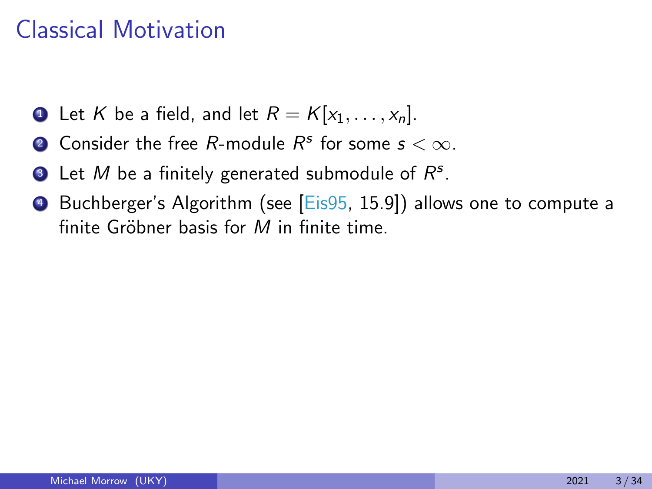- **1** Let K be a field, and let  $R = K[x_1, \ldots, x_n]$ .
- **2** Consider the free R-module  $R^s$  for some  $s < \infty$ .
- **3** Let  $M$  be a finitely generated submodule of  $R^s$ .
- **4** Buchberger's Algorithm (see [\[Eis95,](#page-95-0) 15.9]) allows one to compute a finite Gröbner basis for  $M$  in finite time.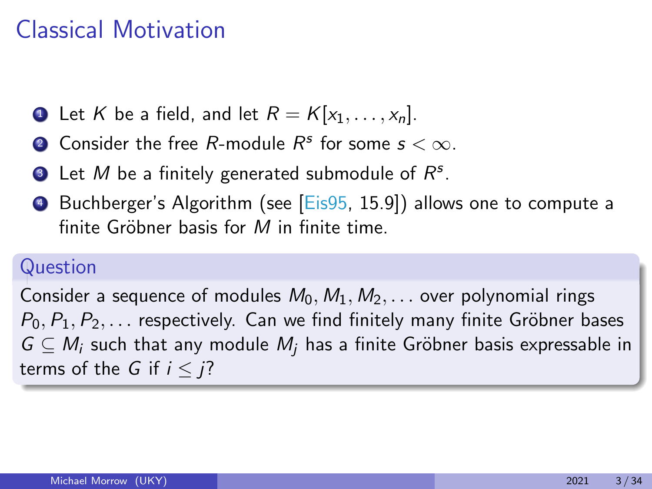- **1** Let K be a field, and let  $R = K[x_1, \ldots, x_n]$ .
- **2** Consider the free R-module  $R^s$  for some  $s < \infty$ .
- **3** Let  $M$  be a finitely generated submodule of  $R^s$ .
- **4** Buchberger's Algorithm (see [\[Eis95,](#page-95-0) 15.9]) allows one to compute a finite Gröbner basis for  $M$  in finite time.

### Question

Consider a sequence of modules  $M_0, M_1, M_2, \ldots$  over polynomial rings  $P_0, P_1, P_2, \ldots$  respectively. Can we find finitely many finite Gröbner bases  $G \subseteq M_i$  such that any module  $M_i$  has a finite Gröbner basis expressable in terms of the G if  $i < i$ ?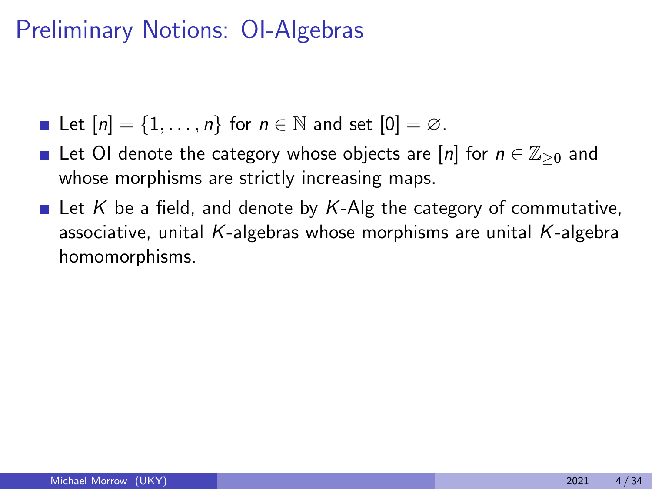- Let  $[n] = \{1, \ldots, n\}$  for  $n \in \mathbb{N}$  and set  $[0] = \emptyset$ .
- Let OI denote the category whose objects are  $[n]$  for  $n \in \mathbb{Z}_{\geq 0}$  and whose morphisms are strictly increasing maps.
- **Example 1** Let K be a field, and denote by K-Alg the category of commutative, associative, unital K-algebras whose morphisms are unital K-algebra homomorphisms.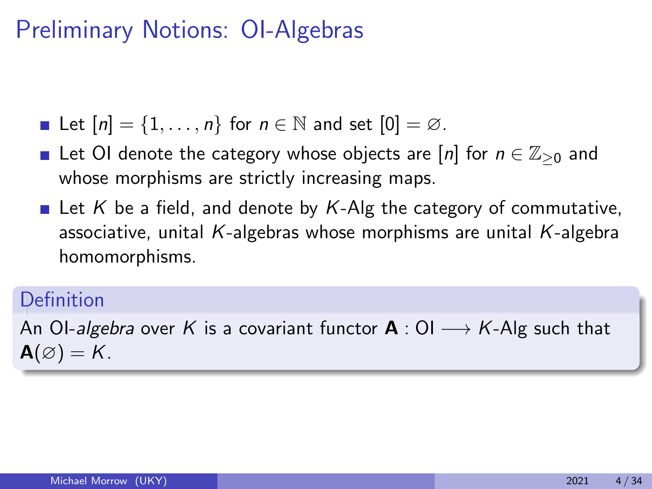- Let  $[n] = \{1, \ldots, n\}$  for  $n \in \mathbb{N}$  and set  $[0] = \emptyset$ .
- Let OI denote the category whose objects are  $[n]$  for  $n \in \mathbb{Z}_{\geq 0}$  and whose morphisms are strictly increasing maps.
- **Example 1** Let K be a field, and denote by K-Alg the category of commutative, associative, unital K-algebras whose morphisms are unital K-algebra homomorphisms.

### Definition

An OI-algebra over K is a covariant functor  $A: O I \longrightarrow K$ -Alg such that  $\mathbf{A}(\varnothing) = \mathbf{K}$ .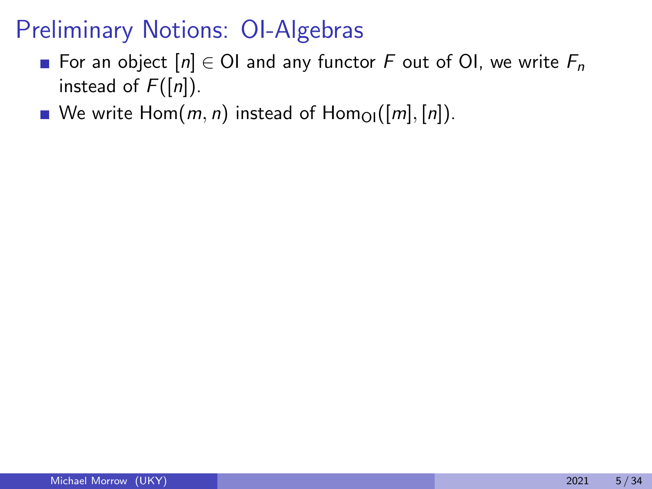- For an object  $[n] \in \text{Ol}$  and any functor F out of OI, we write  $F_n$ instead of  $F([n])$ .
- We write  $Hom(m, n)$  instead of  $Hom_{\Omega}([m], [n])$ .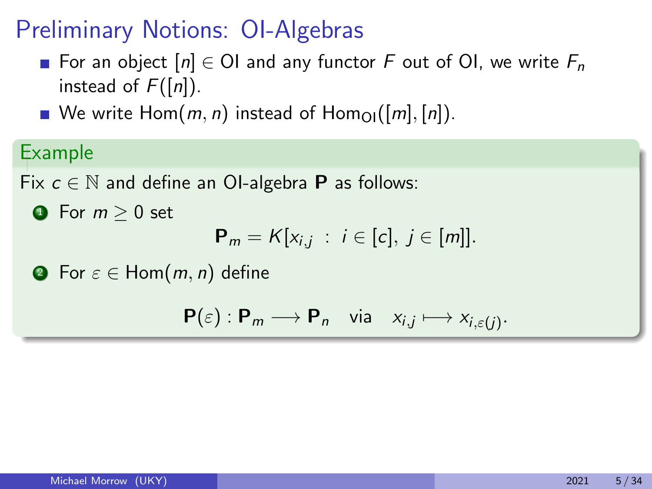- For an object  $[n] \in \mathcal{O}$  and any functor F out of OI, we write  $F_n$ instead of  $F([n])$ .
- We write  $Hom(m, n)$  instead of  $Hom_{\Omega}([m], [n])$ .

Example

Fix  $c \in \mathbb{N}$  and define an OI-algebra **P** as follows:

 $\bullet$  For  $m > 0$  set

 ${\sf P}_m = K[x_{i,j} : i \in [c], j \in [m]].$ 

**2** For  $\varepsilon \in$  Hom $(m, n)$  define

 $\mathsf{P}(\varepsilon): \mathsf{P}_m \longrightarrow \mathsf{P}_n$  via  $x_{i,j} \longmapsto x_{i,\varepsilon(j)}$ .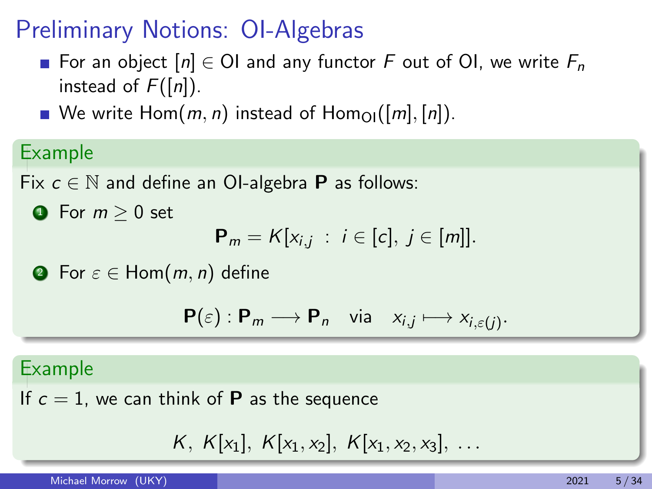- For an object  $[n] \in \mathcal{O}$  and any functor F out of OI, we write  $F_n$ instead of  $F([n])$ .
- We write  $Hom(m, n)$  instead of  $Hom_{\Omega}([m], [n])$ .

Example

Fix  $c \in \mathbb{N}$  and define an OI-algebra **P** as follows:

 $\bullet$  For  $m > 0$  set

 ${\sf P}_m = K[x_{i,j} : i \in [c], j \in [m]].$ 

**2** For  $\varepsilon \in$  Hom $(m, n)$  define

$$
\mathbf{P}(\varepsilon): \mathbf{P}_m \longrightarrow \mathbf{P}_n \quad \text{via} \quad x_{i,j} \longmapsto x_{i,\varepsilon(j)}.
$$

#### Example

If  $c = 1$ , we can think of **P** as the sequence

$$
K, K[x_1], K[x_1, x_2], K[x_1, x_2, x_3], \ldots
$$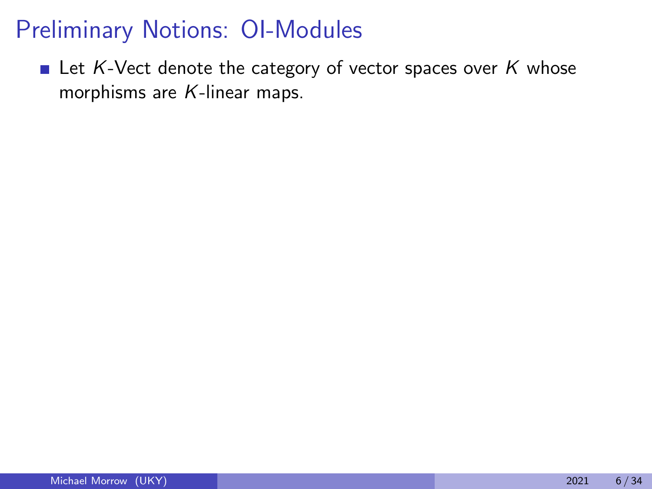Let K-Vect denote the category of vector spaces over  $K$  whose morphisms are K-linear maps.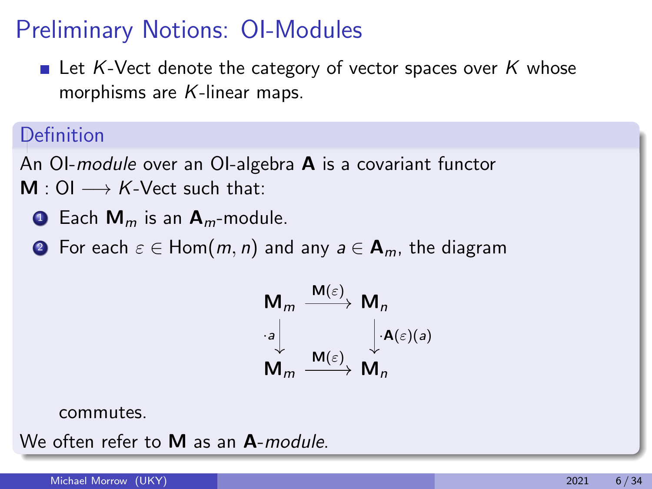$\blacksquare$  Let K-Vect denote the category of vector spaces over K whose morphisms are K-linear maps.

### Definition

An OI-module over an OI-algebra  $A$  is a covariant functor  $M:$  OI  $\longrightarrow$  K-Vect such that:

- **1** Each  $M_m$  is an  $A_m$ -module.
- **2** For each  $\varepsilon \in$  Hom $(m, n)$  and any  $a \in$  **A**<sub>m</sub>, the diagram



commutes.

We often refer to M as an A-module.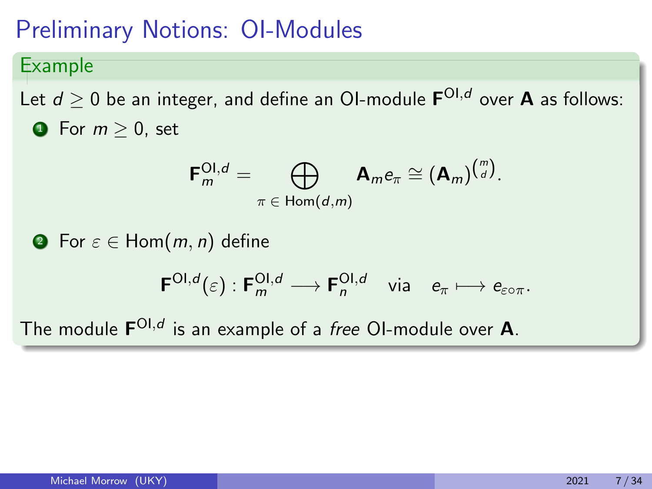Example

Let  $d\geq 0$  be an integer, and define an OI-module  $\mathsf{F}^{\mathsf{OI},d}$  over  $\mathsf A$  as follows:  $\bullet$  For  $m > 0$ , set

$$
\mathbf{F}_m^{\mathsf{OI},d} = \bigoplus_{\pi \in \mathsf{Hom}(d,m)} \mathbf{A}_m e_{\pi} \cong (\mathbf{A}_m)^{\binom{m}{d}}.
$$

**2** For  $\varepsilon \in$  Hom $(m, n)$  define

$$
\mathsf{F}^{\mathsf{OI},d}(\varepsilon): \mathsf{F}^{\mathsf{OI},d}_{m} \longrightarrow \mathsf{F}^{\mathsf{OI},d}_{n} \quad \text{via} \quad e_{\pi} \longmapsto e_{\varepsilon \circ \pi}.
$$

The module  $\mathsf{F}^{\mathsf{OI},d}$  is an example of a *free* OI-module over **A**.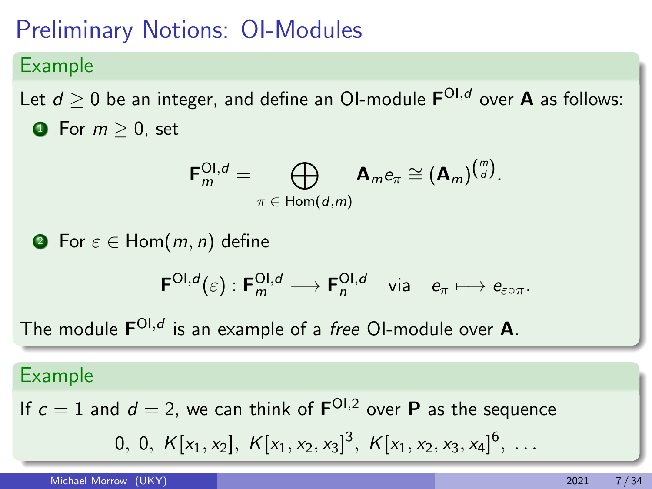#### Example

Let  $d\geq 0$  be an integer, and define an OI-module  $\mathsf{F}^{\mathsf{OI},d}$  over  $\mathsf A$  as follows:  $\bullet$  For  $m > 0$ , set

$$
\mathsf{F}_m^{\mathsf{OI},d} = \bigoplus_{\pi \in \mathsf{Hom}(d,m)} \mathsf{A}_m e_{\pi} \cong (\mathsf{A}_m)^{\binom{m}{d}}.
$$

**2** For  $\varepsilon \in$  Hom $(m, n)$  define

$$
\mathsf{F}^{\mathsf{OI},d}(\varepsilon):\mathsf{F}^{\mathsf{OI},d}_{m}\longrightarrow \mathsf{F}^{\mathsf{OI},d}_{n}\quad\text{via}\quad e_{\pi}\longmapsto e_{\varepsilon\circ\pi}.
$$

The module  $\mathsf{F}^{\mathsf{OI},d}$  is an example of a *free* OI-module over **A**.

#### Example

If  $c = 1$  and  $d = 2$ , we can think of  $\mathbf{F}^{\text{OL}, 2}$  over  $\mathbf{P}$  as the sequence

$$
0, 0, K[x_1, x_2], K[x_1, x_2, x_3]^3, K[x_1, x_2, x_3, x_4]^6, \ldots
$$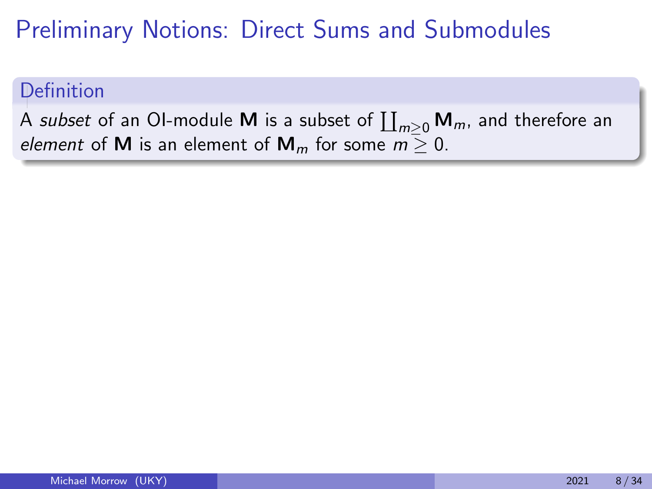### Definition

A *subset* of an OI-module **M** is a subset of  $\prod_{m\geq 0} \mathsf{M}_m$ , and therefore an element of **M** is an element of **M**<sub>m</sub> for some  $m \ge 0$ .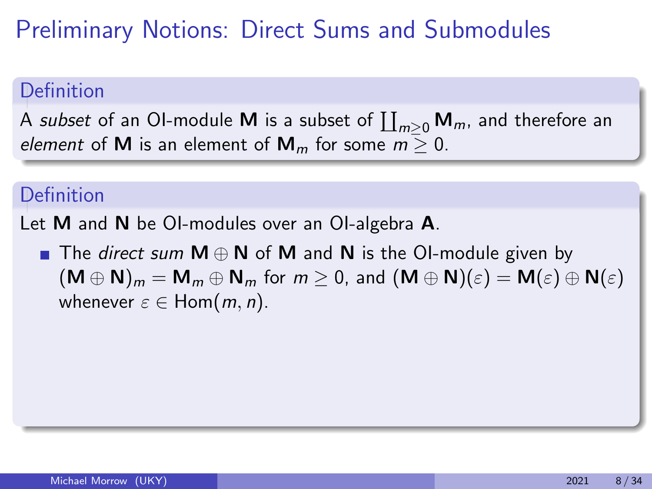### Definition

A *subset* of an OI-module **M** is a subset of  $\prod_{m\geq 0} \mathsf{M}_m$ , and therefore an element of **M** is an element of  $M_m$  for some  $m > 0$ .

### Definition

Let **M** and **N** be OI-modules over an OI-algebra **A**.

■ The *direct sum*  $M \oplus N$  of M and N is the OI-module given by  $(M \oplus N)_m = M_m \oplus N_m$  for  $m \geq 0$ , and  $(M \oplus N)(\varepsilon) = M(\varepsilon) \oplus N(\varepsilon)$ whenever  $\varepsilon \in$  Hom $(m, n)$ .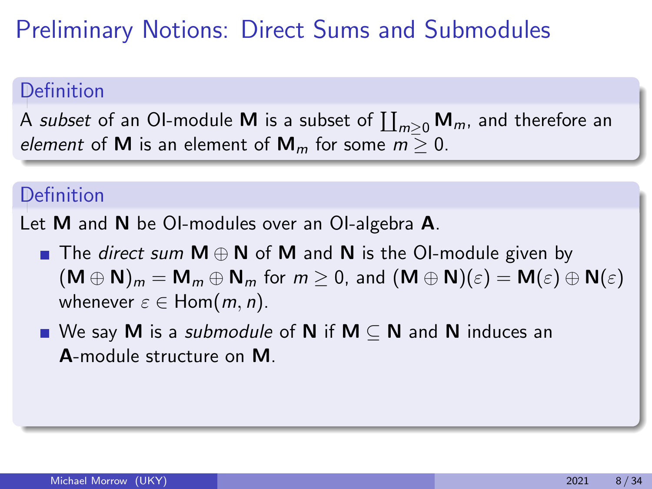### Definition

A *subset* of an OI-module **M** is a subset of  $\prod_{m\geq 0} \mathsf{M}_m$ , and therefore an element of **M** is an element of  $M_m$  for some  $m > 0$ .

### Definition

Let **M** and **N** be OI-modules over an OI-algebra **A**.

- The *direct sum*  $M \oplus N$  of M and N is the OI-module given by  $(M \oplus N)_m = M_m \oplus N_m$  for  $m \geq 0$ , and  $(M \oplus N)(\varepsilon) = M(\varepsilon) \oplus N(\varepsilon)$ whenever  $\varepsilon \in$  Hom $(m, n)$ .
- We say M is a *submodule* of N if M  $\subseteq$  N and N induces an A-module structure on M.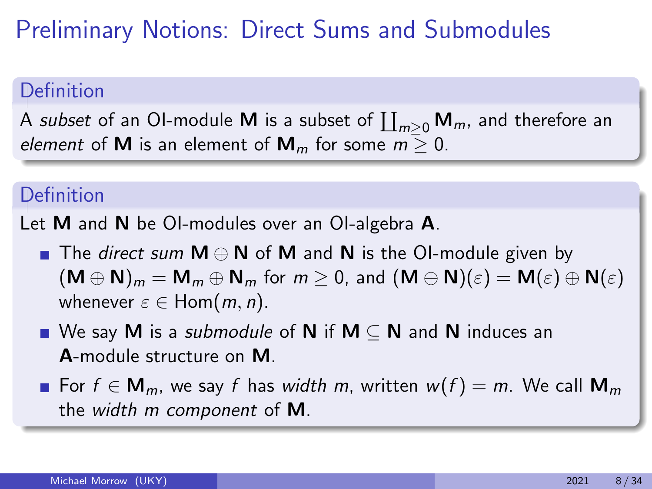### Definition

A *subset* of an OI-module **M** is a subset of  $\prod_{m\geq 0} \mathsf{M}_m$ , and therefore an element of **M** is an element of  $M_m$  for some  $m > 0$ .

### Definition

Let **M** and **N** be OI-modules over an OI-algebra **A**.

- The *direct sum*  $M \oplus N$  of M and N is the OI-module given by  $(M \oplus N)_m = M_m \oplus N_m$  for  $m \geq 0$ , and  $(M \oplus N)(\varepsilon) = M(\varepsilon) \oplus N(\varepsilon)$ whenever  $\varepsilon \in$  Hom $(m, n)$ .
- We say M is a *submodule* of N if M  $\subseteq$  N and N induces an A-module structure on M.
- For  $f \in M_m$ , we say f has width m, written  $w(f) = m$ . We call  $M_m$ the width m component of M.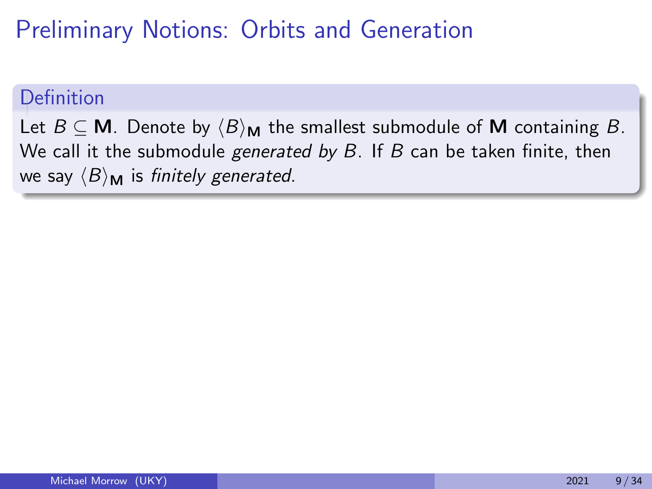#### Definition

Let  $B \subseteq M$ . Denote by  $\langle B \rangle_M$  the smallest submodule of M containing B. We call it the submodule *generated by B*. If B can be taken finite, then we say  $\langle B \rangle_{\mathbf{M}}$  is finitely generated.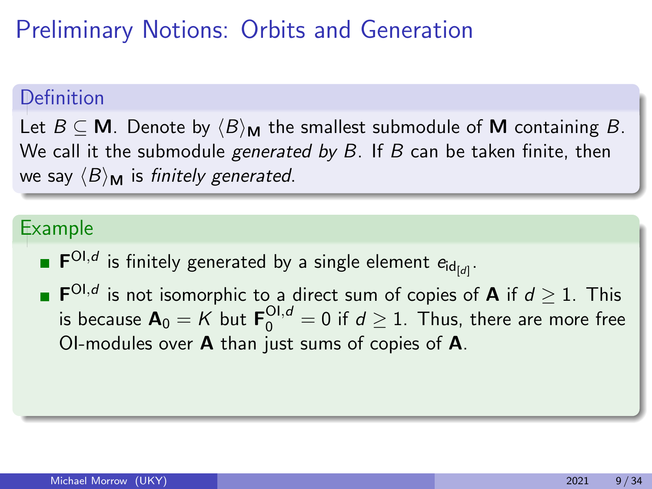### Definition

Let  $B \subseteq M$ . Denote by  $\langle B \rangle_M$  the smallest submodule of M containing B. We call it the submodule *generated by B*. If B can be taken finite, then we say  $\langle B \rangle_{\mathbf{M}}$  is finitely generated.

### Example

- $\mathsf{F}^{\mathsf{OI},d}$  is finitely generated by a single element  $e_{\mathsf{id}_{\llbracket d\rrbracket}}.$
- $\mathsf{F}^{\mathsf{OI},d}$  is not isomorphic to a direct sum of copies of **A** if  $d\geq 1$ . This is because  $\bm{A}_0 = K$  but  $\bm{\mathsf{F}}_0^{\bm{\mathsf{OI}}, d} = 0$  if  $d \geq 1$ . Thus, there are more free OI-modules over A than just sums of copies of A.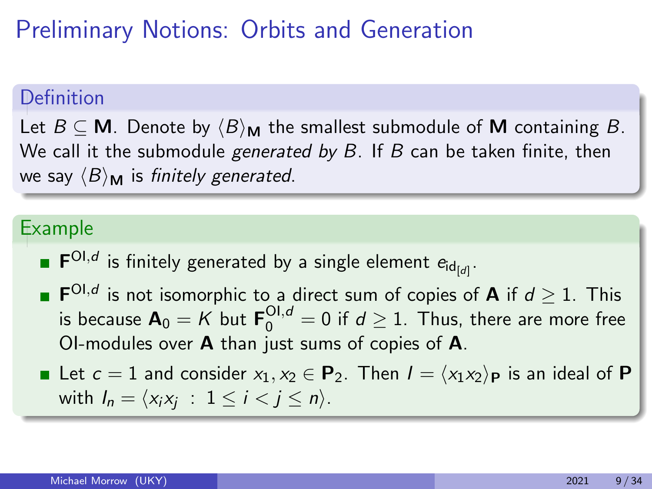### Definition

Let  $B \subseteq M$ . Denote by  $\langle B \rangle_M$  the smallest submodule of M containing B. We call it the submodule *generated by B*. If B can be taken finite, then we say  $\langle B \rangle_M$  is finitely generated.

### Example

- $\mathsf{F}^{\mathsf{OI},d}$  is finitely generated by a single element  $e_{\mathsf{id}_{\llbracket d\rrbracket}}.$
- $\mathsf{F}^{\mathsf{OI},d}$  is not isomorphic to a direct sum of copies of **A** if  $d\geq 1$ . This is because  $\bm{A}_0 = K$  but  $\bm{\mathsf{F}}_0^{\bm{\mathsf{OI}}, d} = 0$  if  $d \geq 1$ . Thus, there are more free OI-modules over A than just sums of copies of A.
- Let  $c = 1$  and consider  $x_1, x_2 \in \mathbf{P}_2$ . Then  $I = \langle x_1 x_2 \rangle_{\mathbf{P}}$  is an ideal of P with  $I_n = \langle x_i x_j : 1 \le i < j \le n \rangle$ .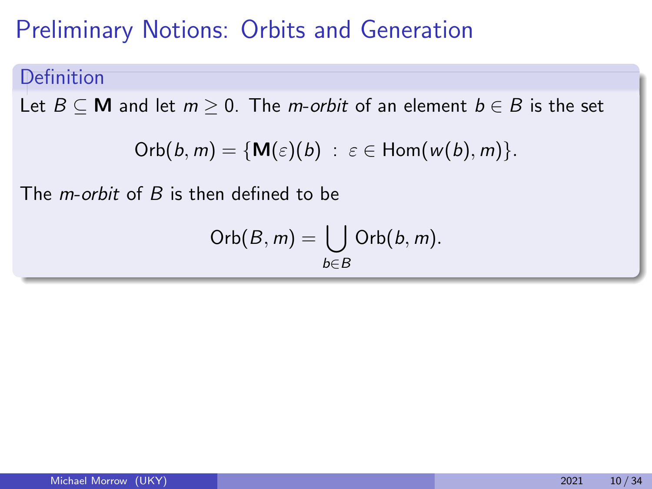#### Definition

Let  $B \subseteq M$  and let  $m \ge 0$ . The *m-orbit* of an element  $b \in B$  is the set

Orb
$$
(b, m)
$$
 = {**M** $(\varepsilon)(b)$  :  $\varepsilon \in$  Hom $(w(b), m)$  }.

The *m-orbit* of  $B$  is then defined to be

Orb
$$
(B, m)
$$
 =  $\bigcup_{b \in B}$ Orb $(b, m)$ .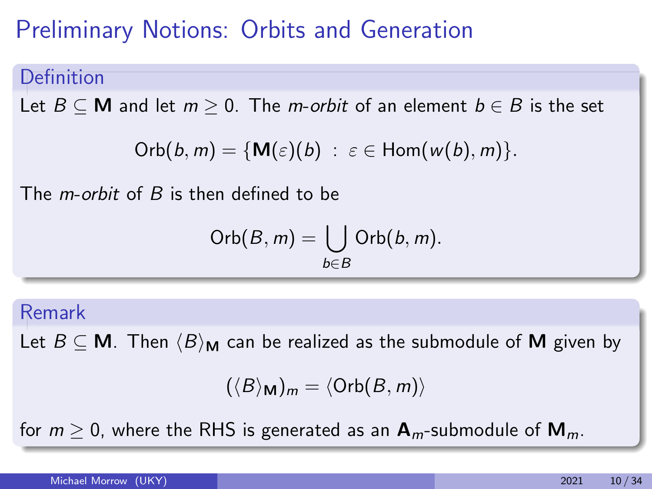#### Definition

Let  $B \subseteq M$  and let  $m \ge 0$ . The m-orbit of an element  $b \in B$  is the set

Orb
$$
(b, m)
$$
 = {**M** $(\varepsilon)(b)$  :  $\varepsilon \in$  Hom $(w(b), m)$  }.

The  $m$ -orbit of  $B$  is then defined to be

Orb
$$
(B, m)
$$
 =  $\bigcup_{b \in B}$ Orb $(b, m)$ .

#### Remark

Let  $B \subseteq M$ . Then  $\langle B \rangle_M$  can be realized as the submodule of M given by

$$
(\langle B \rangle_{\mathbf{M}})_m = \langle \text{Orb}(B,m) \rangle
$$

for  $m > 0$ , where the RHS is generated as an  $A_m$ -submodule of  $M_m$ .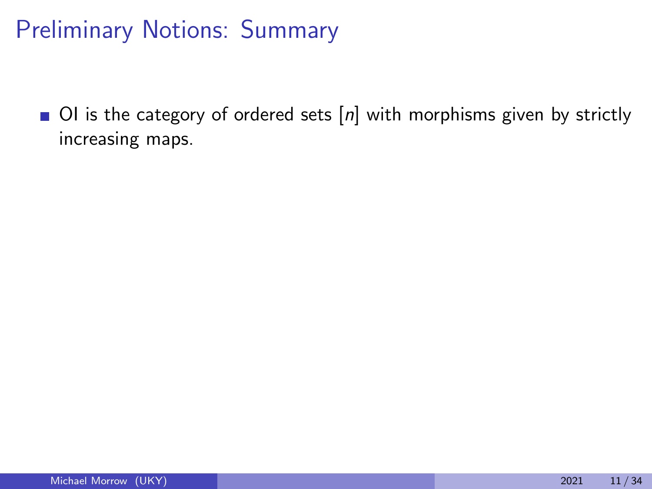$\Box$  OI is the category of ordered sets  $[n]$  with morphisms given by strictly increasing maps.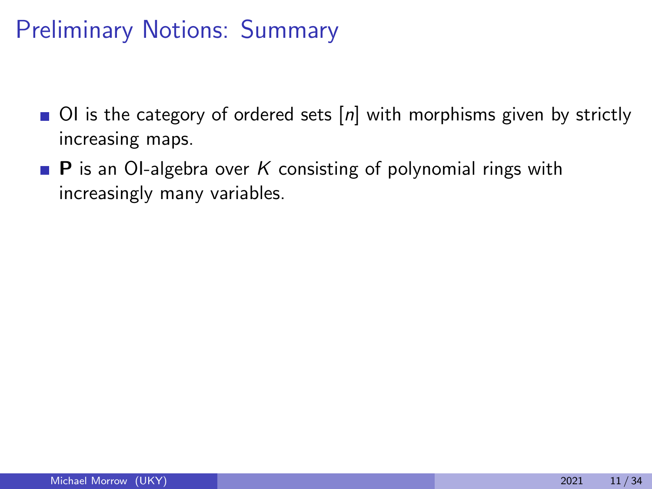- $\blacksquare$  OI is the category of ordered sets  $[n]$  with morphisms given by strictly increasing maps.
- **P** is an OI-algebra over K consisting of polynomial rings with increasingly many variables.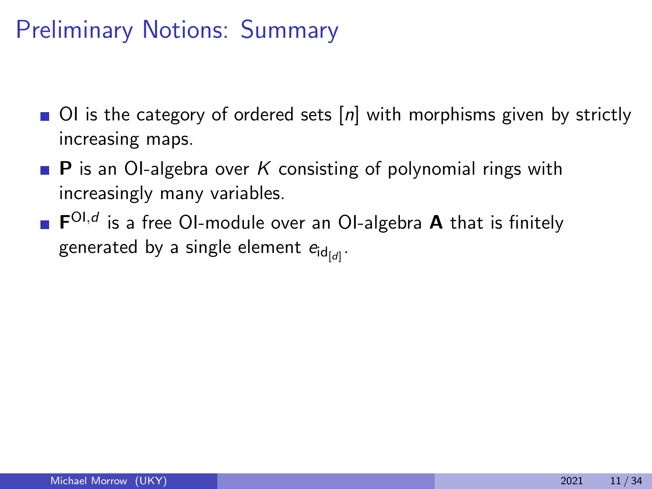- $\blacksquare$  OI is the category of ordered sets  $[n]$  with morphisms given by strictly increasing maps.
- **P** is an OI-algebra over K consisting of polynomial rings with increasingly many variables.
- $\mathsf{F}^{\mathsf{OI},d}$  is a free OI-module over an OI-algebra  $\mathsf A$  that is finitely generated by a single element  $e_{\mathsf{id}_{\left[\mathcal{d}\right]}}.$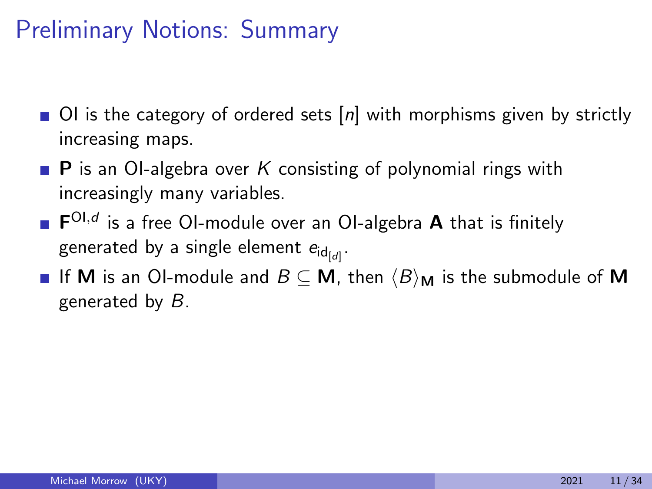- $\Box$  OI is the category of ordered sets  $[n]$  with morphisms given by strictly increasing maps.
- **P** is an OI-algebra over K consisting of polynomial rings with increasingly many variables.
- $\mathsf{F}^{\mathsf{OI},d}$  is a free OI-module over an OI-algebra  $\mathsf A$  that is finitely generated by a single element  $e_{\mathsf{id}_{\left[\mathcal{d}\right]}}.$
- **If M** is an OI-module and  $B \subseteq M$ , then  $\langle B \rangle_M$  is the submodule of **M** generated by B.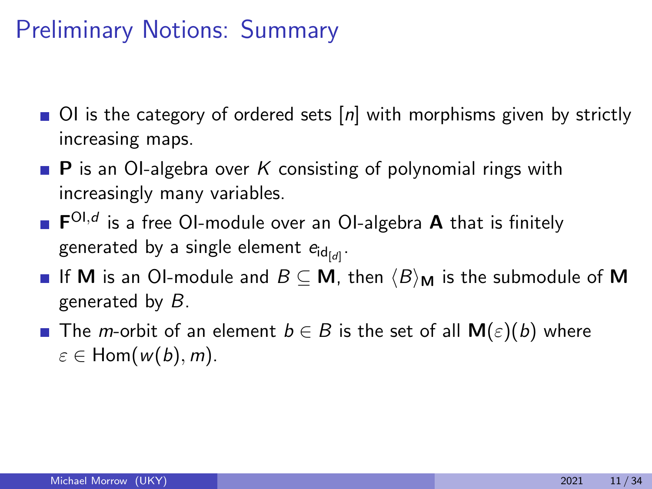- $\blacksquare$  OI is the category of ordered sets  $[n]$  with morphisms given by strictly increasing maps.
- **P** is an OI-algebra over K consisting of polynomial rings with increasingly many variables.
- $\mathsf{F}^{\mathsf{OI},d}$  is a free OI-module over an OI-algebra  $\mathsf A$  that is finitely generated by a single element  $e_{\mathsf{id}_{\left[\mathcal{d}\right]}}.$
- **If M** is an OI-module and  $B \subseteq M$ , then  $\langle B \rangle_M$  is the submodule of **M** generated by  $B$ .
- **■** The *m*-orbit of an element  $b \in B$  is the set of all  $M(\varepsilon)(b)$  where  $\varepsilon \in$  Hom $(w(b), m)$ .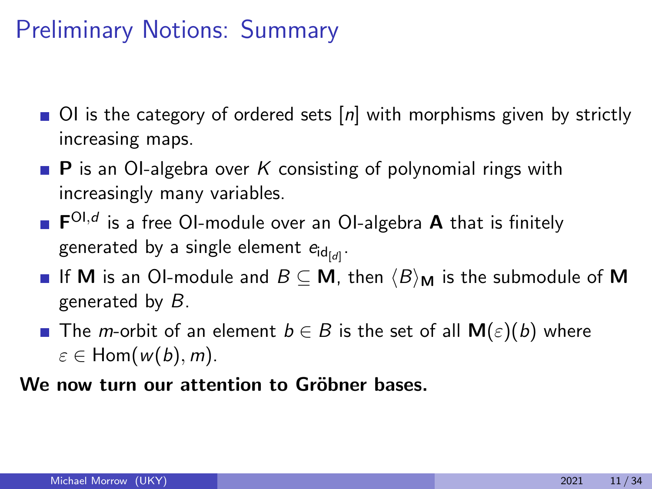- $\blacksquare$  OI is the category of ordered sets  $[n]$  with morphisms given by strictly increasing maps.
- **P** is an OI-algebra over K consisting of polynomial rings with increasingly many variables.
- $\mathsf{F}^{\mathsf{OI},d}$  is a free OI-module over an OI-algebra  $\mathsf A$  that is finitely generated by a single element  $e_{\mathsf{id}_{\left[\mathcal{d}\right]}}.$
- **If M** is an OI-module and  $B \subseteq M$ , then  $\langle B \rangle_M$  is the submodule of **M** generated by  $B$ .
- **■** The *m*-orbit of an element  $b \in B$  is the set of all  $M(\varepsilon)(b)$  where  $\varepsilon \in$  Hom $(w(b), m)$ .

We now turn our attention to Gröbner bases.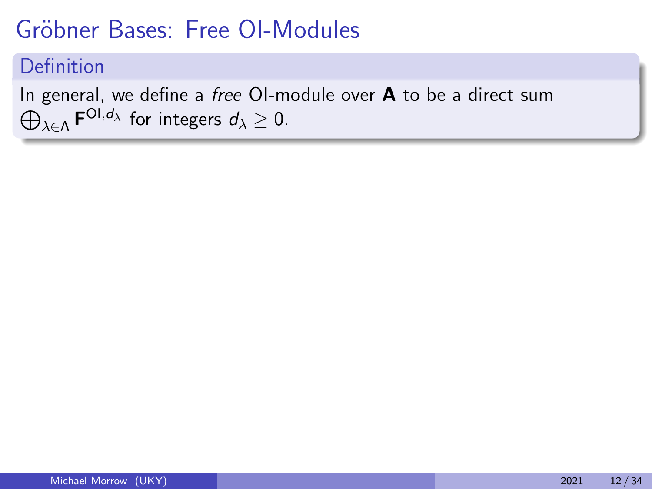# Gröbner Bases: Free OI-Modules

### Definition

 $\bigoplus_{\lambda \in \Lambda} {\mathsf{F}}^{{\mathsf{OI}}, d_\lambda}$  for integers  $d_\lambda \geq 0$ . In general, we define a free OI-module over  $A$  to be a direct sum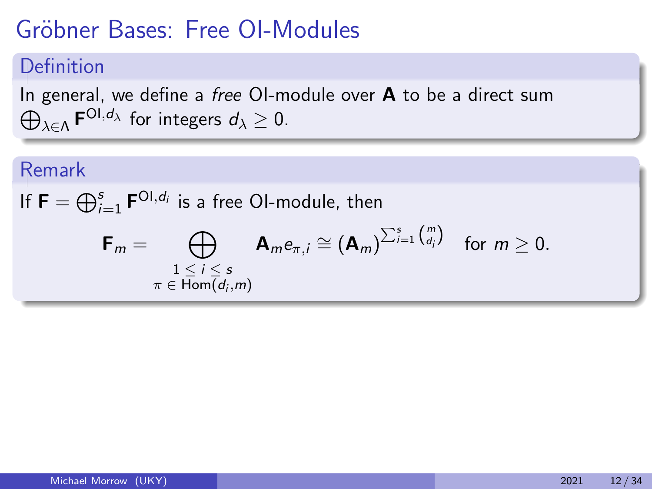# Gröbner Bases: Free OI-Modules

#### Definition

 $\bigoplus_{\lambda \in \Lambda} {\mathsf{F}}^{{\mathsf{OI}}, d_\lambda}$  for integers  $d_\lambda \geq 0$ . In general, we define a free OI-module over  $A$  to be a direct sum

### Remark

If  $\mathsf{F}=\bigoplus_{i=1}^s \mathsf{F}^{\mathsf{OI},d_i}$  is a free OI-module, then

$$
\mathsf{F}_m = \bigoplus_{\substack{1 \leq i \leq s \\ \pi \in \text{Hom}(d_i,m)}} \mathsf{A}_m e_{\pi,i} \cong (\mathsf{A}_m)^{\sum_{i=1}^s {m \choose d_i}} \text{ for } m \geq 0.
$$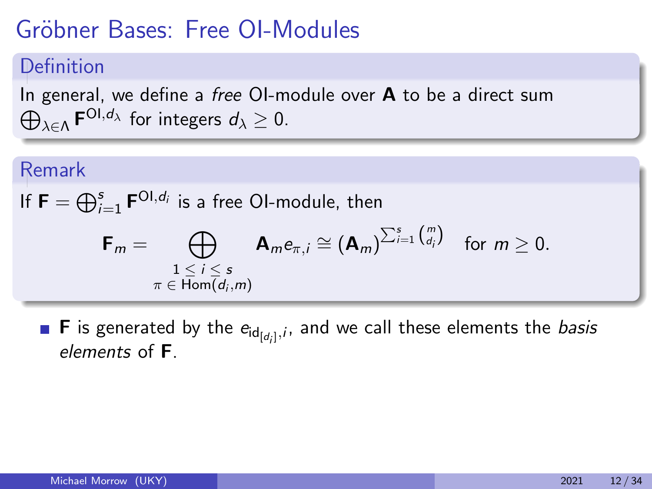# Gröbner Bases: Free OI-Modules

### Definition

 $\bigoplus_{\lambda \in \Lambda} {\mathsf{F}}^{{\mathsf{OI}}, d_\lambda}$  for integers  $d_\lambda \geq 0$ . In general, we define a free OI-module over  $A$  to be a direct sum

#### Remark

If 
$$
\mathbf{F} = \bigoplus_{i=1}^{s} \mathbf{F}^{\text{Ol}, d_i}
$$
 is a free Ol-module, then

$$
\mathsf{F}_m = \bigoplus_{\substack{1 \leq i \leq s \\ \pi \in \text{Hom}(d_i,m)}} \mathsf{A}_m e_{\pi,i} \cong (\mathsf{A}_m)^{\sum_{i=1}^s {m \choose d_i}} \text{ for } m \geq 0.
$$

**F** is generated by the  $e_{id_{[d_i]},i}$ , and we call these elements the *basis* elements of F.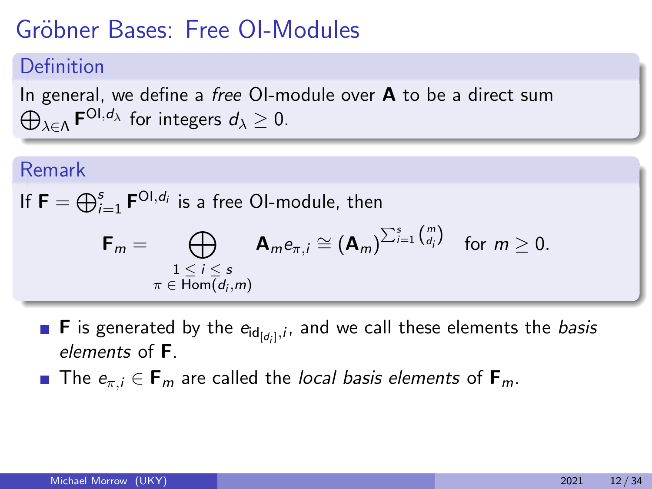# Gröbner Bases: Free OI-Modules

### Definition

 $\bigoplus_{\lambda \in \Lambda} {\mathsf{F}}^{{\mathsf{OI}}, d_\lambda}$  for integers  $d_\lambda \geq 0$ . In general, we define a *free* OI-module over  $A$  to be a direct sum

#### Remark

If 
$$
\mathbf{F} = \bigoplus_{i=1}^{s} \mathbf{F}^{\text{Ol}, d_i}
$$
 is a free Ol-module, then

$$
\mathsf{F}_m = \bigoplus_{\substack{1 \leq i \leq s \\ \pi \in \text{Hom}(d_i,m)}} \mathsf{A}_m e_{\pi,i} \cong (\mathsf{A}_m)^{\sum_{i=1}^s {m \choose d_i}} \text{ for } m \geq 0.
$$

- **F** is generated by the  $e_{id_{[d_i]},i}$ , and we call these elements the *basis* elements of F.
- The  $e_{\pi,i} \in \mathbf{F}_m$  are called the local basis elements of  $\mathbf{F}_m$ .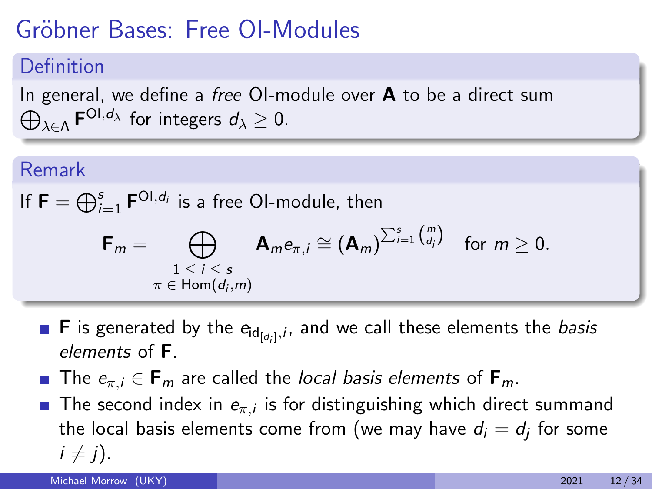# Gröbner Bases: Free OI-Modules

### Definition

 $\bigoplus_{\lambda \in \Lambda} {\mathsf{F}}^{{\mathsf{OI}}, d_\lambda}$  for integers  $d_\lambda \geq 0$ . In general, we define a *free* OI-module over  $\bf{A}$  to be a direct sum

#### Remark

If 
$$
\mathbf{F} = \bigoplus_{i=1}^{s} \mathbf{F}^{\text{Ol}, d_i}
$$
 is a free Ol-module, then

$$
\mathsf{F}_m = \bigoplus_{\substack{1 \leq i \leq s \\ \pi \in \text{Hom}(d_i,m)}} \mathsf{A}_m e_{\pi,i} \cong (\mathsf{A}_m)^{\sum_{i=1}^s {m \choose d_i}} \text{ for } m \geq 0.
$$

- **F** is generated by the  $e_{id_{[d_i]},i}$ , and we call these elements the *basis* elements of F.
- **The**  $e_{\pi,i} \in \mathbf{F}_m$  **are called the local basis elements of**  $\mathbf{F}_m$ **.**
- The second index in  $e_{\pi,i}$  is for distinguishing which direct summand the local basis elements come from (we may have  $d_i = d_j$  for some  $i \neq j$ ).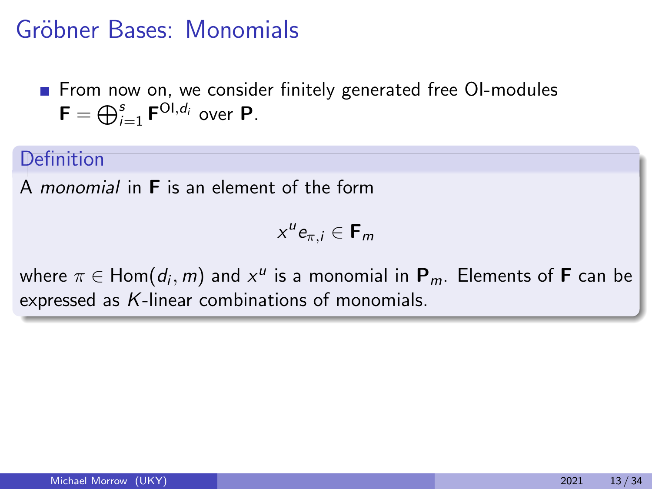**From now on, we consider finitely generated free OI-modules**  $\mathsf{F}=\bigoplus_{i=1}^s \mathsf{F}^{\mathsf{OI}, d_i}$  over  $\mathsf{P}.$ 

#### Definition

A monomial in F is an element of the form

 $x^u e_{\pi,i} \in \mathbf{F}_m$ 

where  $\pi \in \mathsf{Hom} (d_i , m)$  and  $\mathsf{x}^{\mathsf{u}}$  is a monomial in  $\mathsf{P}_m.$  Elements of  $\mathsf{F}$  can be expressed as K-linear combinations of monomials.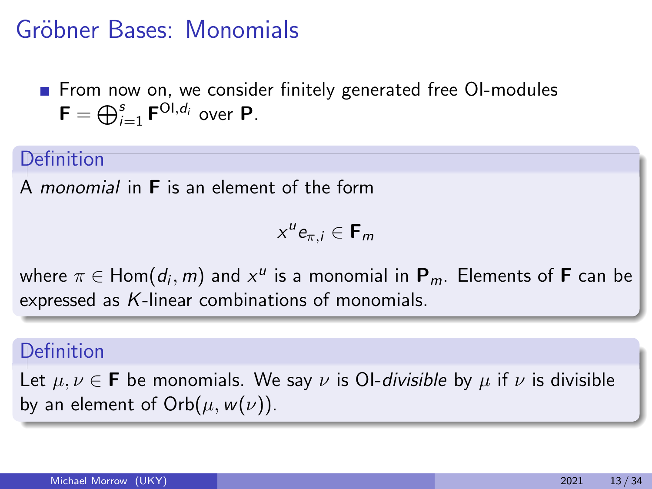**From now on, we consider finitely generated free OI-modules**  $\mathsf{F}=\bigoplus_{i=1}^s \mathsf{F}^{\mathsf{OI}, d_i}$  over  $\mathsf{P}.$ 

#### Definition

A monomial in F is an element of the form

 $x^u e_{\pi,i} \in \mathbf{F}_m$ 

where  $\pi \in \mathsf{Hom} (d_i , m)$  and  $\mathsf{x}^{\mathsf{u}}$  is a monomial in  $\mathsf{P}_m.$  Elements of  $\mathsf{F}$  can be expressed as K-linear combinations of monomials.

#### Definition

Let  $\mu, \nu \in \mathbf{F}$  be monomials. We say  $\nu$  is OI-*divisible* by  $\mu$  if  $\nu$  is divisible by an element of  $Orb(\mu, w(\nu))$ .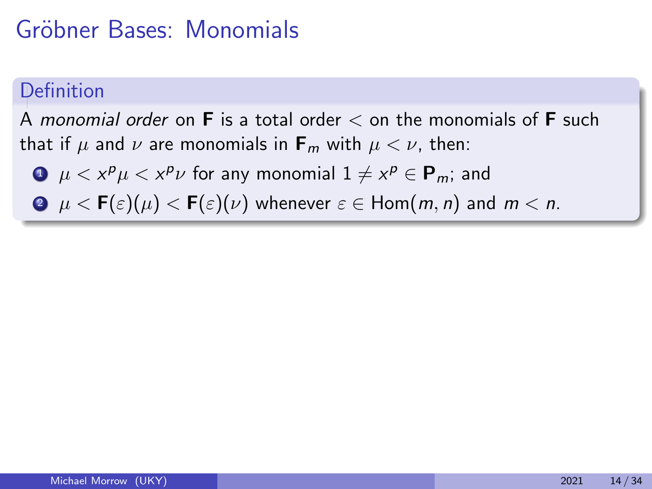### **Definition**

A monomial order on  $\bf{F}$  is a total order  $\lt$  on the monomials of  $\bf{F}$  such that if  $\mu$  and  $\nu$  are monomials in  $\mathbf{F}_m$  with  $\mu < \nu$ , then:

 $\mathbf{1}\neq x^{\boldsymbol{\rho}}\mu < x^{\boldsymbol{\rho}}\nu$  for any monomial  $1\neq x^{\boldsymbol{\rho}}\in\mathbf{P}_m;$  and

**2**  $\mu < \mathbf{F}(\varepsilon)(\mu) < \mathbf{F}(\varepsilon)(\nu)$  whenever  $\varepsilon \in \text{Hom}(m, n)$  and  $m < n$ .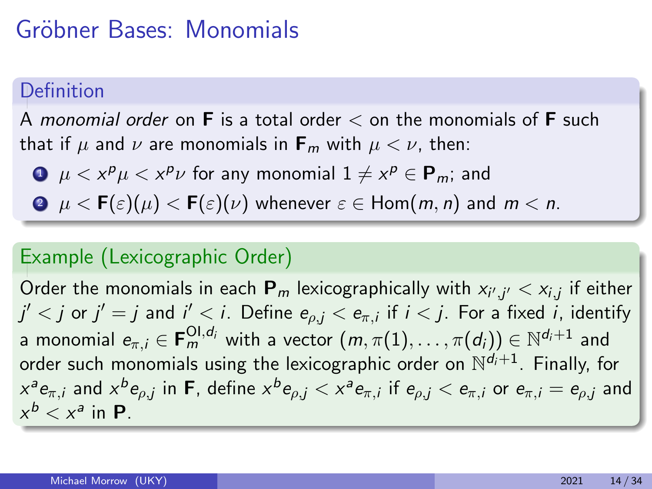### **Definition**

A monomial order on **F** is a total order  $\lt$  on the monomials of **F** such that if  $\mu$  and  $\nu$  are monomials in  $\mathbf{F}_m$  with  $\mu < \nu$ , then:

- $\mathbf{1}\neq x^{\boldsymbol{\rho}}\mu < x^{\boldsymbol{\rho}}\nu$  for any monomial  $1\neq x^{\boldsymbol{\rho}}\in\mathbf{P}_m;$  and
- **2**  $\mu < F(\varepsilon)(\mu) < F(\varepsilon)(\nu)$  whenever  $\varepsilon \in Hom(m, n)$  and  $m < n$ .

### Example (Lexicographic Order)

Order the monomials in each  $\mathbf{P}_m$  lexicographically with  $\mathsf{x}_{i',j'} < \mathsf{x}_{i,j}$  if either  $j' < j$  or  $j' = j$  and  $i' < i$ . Define  $e_{\rho,j} < e_{\pi,i}$  if  $i < j$ . For a fixed  $i$ , identify a monomial  $e_{\pi,i}\in{\sf F}^{{\sf Ol},d_i}_m$  with a vector  $(m,\pi(1),\ldots,\pi(d_i))\in\mathbb{N}^{d_i+1}$  and order such monomials using the lexicographic order on  $\mathbb{N}^{d_i+1}$ . Finally, for  $x^a e_{\pi,i}$  and  $x^b e_{\rho,j}$  in **F**, define  $x^b e_{\rho,j} < x^a e_{\pi,i}$  if  $e_{\rho,j} < e_{\pi,i}$  or  $e_{\pi,i} = e_{\rho,j}$  and  $x^b < x^a$  in **P**.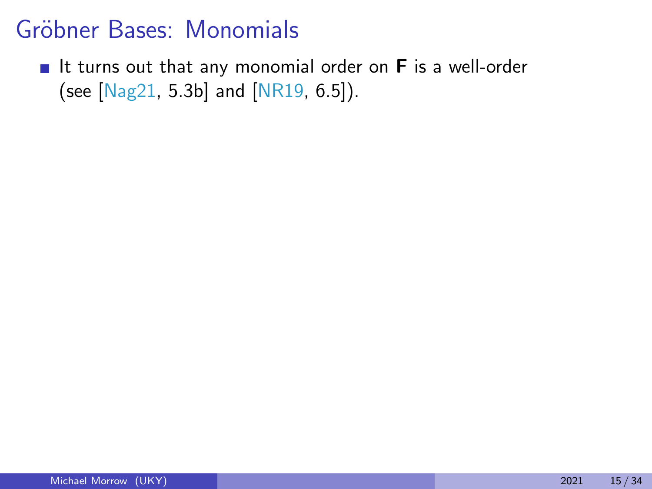It turns out that any monomial order on  $F$  is a well-order (see [\[Nag21,](#page-95-0) 5.3b] and [\[NR19,](#page-95-1) 6.5]).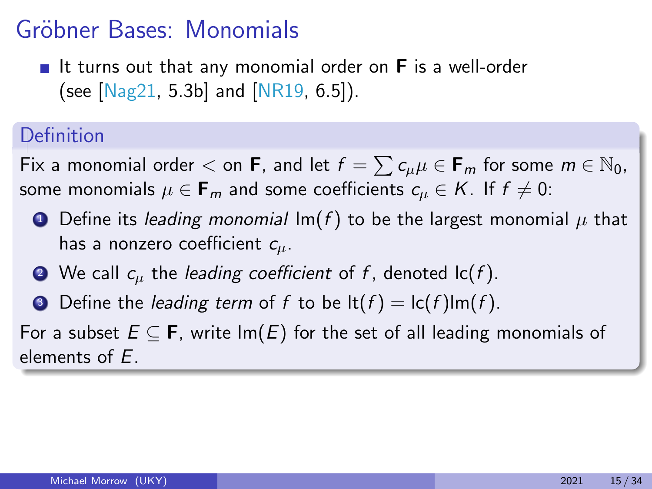If turns out that any monomial order on  $F$  is a well-order (see  $[Nag21, 5.3b]$  $[Nag21, 5.3b]$  and  $[NR19, 6.5]$  $[NR19, 6.5]$ ).

### Definition

Fix a monomial order  $<$  on **F**, and let  $f = \sum c_{\mu} \mu \in \mathsf{F}_m$  for some  $m \in \mathbb{N}_0$ , some monomials  $\mu \in \mathbf{F}_m$  and some coefficients  $c_{\mu} \in K$ . If  $f \neq 0$ :

- **O** Define its leading monomial  $Im(f)$  to be the largest monomial  $\mu$  that has a nonzero coefficient  $c_{\mu}$ .
- $\bullet$  We call  $c_{\mu}$  the *leading coefficient* of f, denoted  $\mathsf{lc}(f)$ .
- **3** Define the *leading term* of f to be  $\text{lt}(f) = \text{lt}(f)\text{lm}(f)$ .

For a subset  $E \subseteq F$ , write  $Im(E)$  for the set of all leading monomials of elements of E.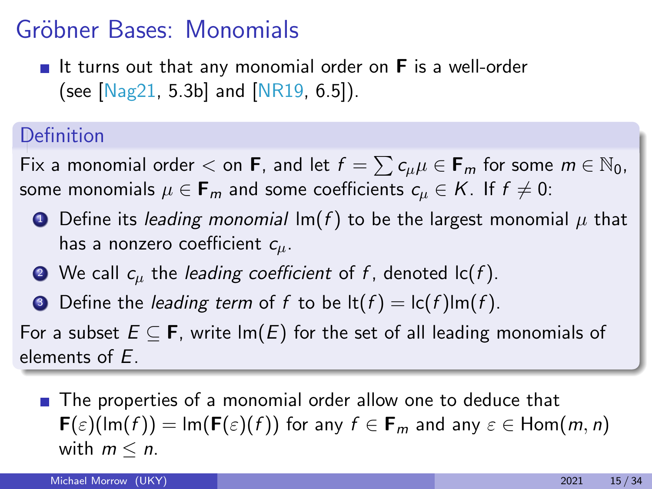If turns out that any monomial order on  $F$  is a well-order (see  $[Nag21, 5.3b]$  $[Nag21, 5.3b]$  and  $[NR19, 6.5]$  $[NR19, 6.5]$ ).

### Definition

Fix a monomial order  $<$  on **F**, and let  $f = \sum c_{\mu} \mu \in \mathsf{F}_m$  for some  $m \in \mathbb{N}_0$ , some monomials  $\mu \in \mathbf{F}_m$  and some coefficients  $c_{\mu} \in K$ . If  $f \neq 0$ :

- **O** Define its leading monomial  $Im(f)$  to be the largest monomial  $\mu$  that has a nonzero coefficient  $c_{\mu}$ .
- $\bullet$  We call  $c_{\mu}$  the *leading coefficient* of f, denoted  $\mathsf{lc}(f)$ .
- **3** Define the *leading term* of f to be  $\text{lt}(f) = \text{lt}(f)\text{lm}(f)$ .

For a subset  $E \subseteq F$ , write  $Im(E)$  for the set of all leading monomials of elements of E.

■ The properties of a monomial order allow one to deduce that  $\mathbf{F}(\varepsilon)(\text{Im}(f)) = \text{Im}(\mathbf{F}(\varepsilon)(f))$  for any  $f \in \mathbf{F}_m$  and any  $\varepsilon \in \text{Hom}(m, n)$ with  $m \leq n$ .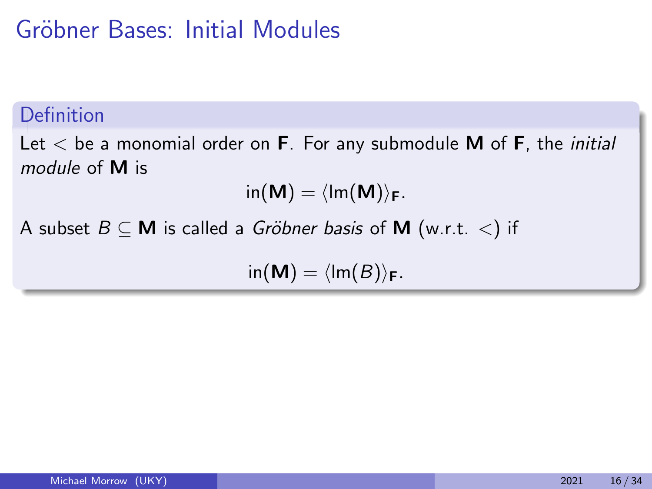## Gröbner Bases: Initial Modules

### Definition

Let  $\lt$  be a monomial order on **F**. For any submodule **M** of **F**, the *initial* module of M is

$$
\mathsf{in}(\mathbf{M}) = \langle \mathsf{Im}(\mathbf{M}) \rangle_{\mathbf{F}}.
$$

A subset  $B \subseteq M$  is called a *Gröbner basis* of M (w.r.t. <) if

 $\text{in}(\mathbf{M}) = \langle \text{Im}(B) \rangle_{\mathbf{F}}.$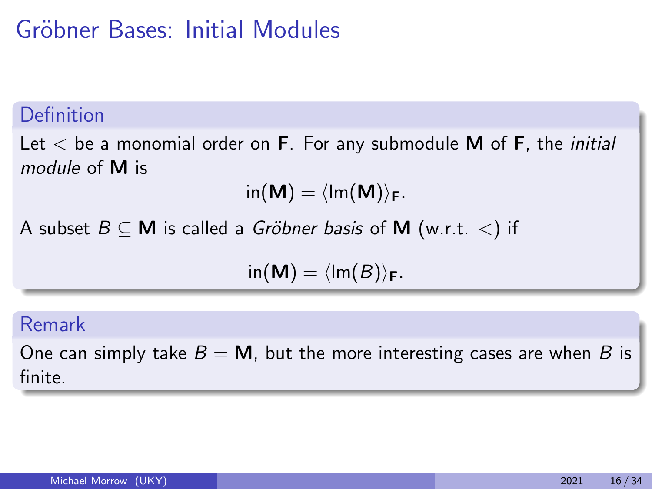## Gröbner Bases: Initial Modules

### Definition

Let  $\lt$  be a monomial order on **F**. For any submodule **M** of **F**, the *initial* module of M is

$$
\mathsf{in}(\mathsf{M}) = \langle \mathsf{Im}(\mathsf{M}) \rangle_{\mathsf{F}}.
$$

A subset  $B \subseteq M$  is called a *Gröbner basis* of M (w.r.t. <) if

$$
\mathsf{in}(\mathsf{M}) = \langle \mathsf{Im}(B) \rangle_{\mathsf{F}}.
$$

#### Remark

One can simply take  $B = M$ , but the more interesting cases are when B is finite.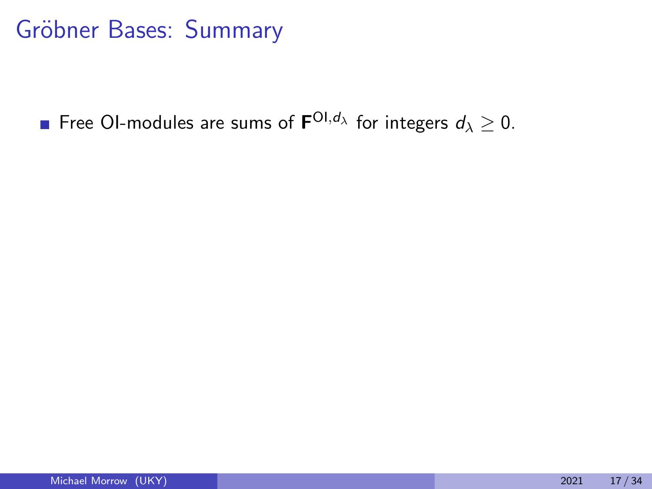Free OI-modules are sums of  $\mathbf{F}^{\text{Ol,}d_\lambda}$  for integers  $d_\lambda \geq 0.$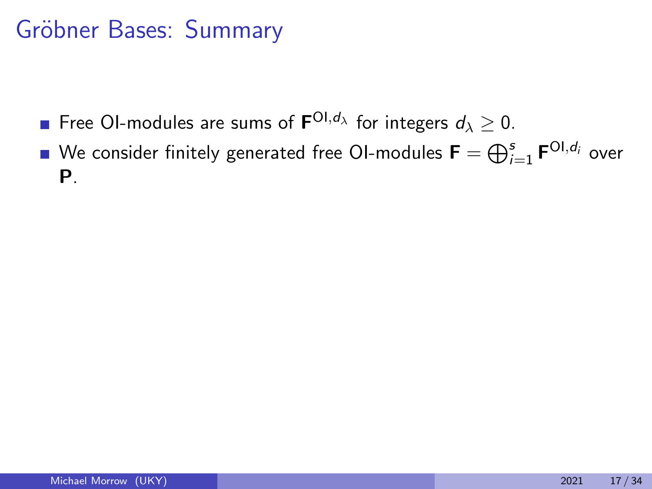- Free OI-modules are sums of  $\mathbf{F}^{\text{Ol,}d_\lambda}$  for integers  $d_\lambda \geq 0.$
- We consider finitely generated free OI-modules  $\textsf{\textbf{F}}=\bigoplus_{i=1}^s \textsf{\textbf{F}}^{\textsf{OI},d_i}$  over P.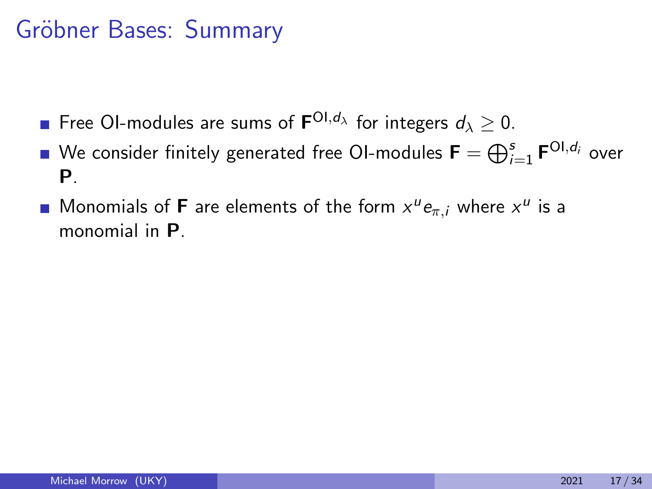- Free OI-modules are sums of  $\mathbf{F}^{\text{Ol,}d_\lambda}$  for integers  $d_\lambda \geq 0.$
- We consider finitely generated free OI-modules  $\textsf{\textbf{F}}=\bigoplus_{i=1}^s \textsf{\textbf{F}}^{\textsf{OI},d_i}$  over P.
- Monomials of **F** are elements of the form  $x^u e_{\pi,i}$  where  $x^u$  is a monomial in P.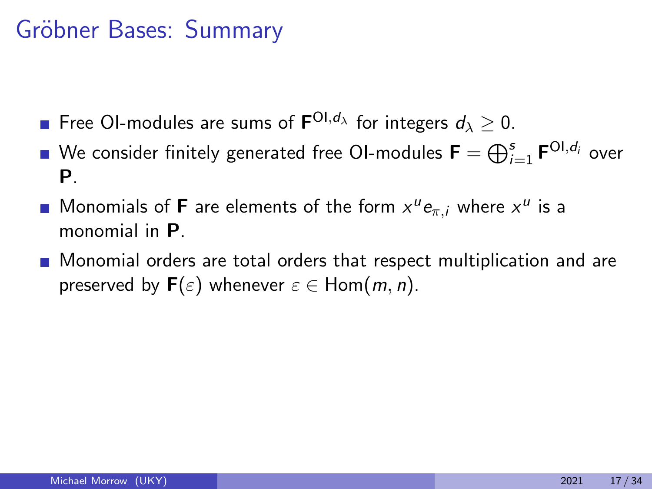- Free OI-modules are sums of  $\mathbf{F}^{\text{Ol,}d_\lambda}$  for integers  $d_\lambda \geq 0.$
- We consider finitely generated free OI-modules  $\textsf{\textbf{F}}=\bigoplus_{i=1}^s \textsf{\textbf{F}}^{\textsf{OI},d_i}$  over P.
- Monomials of **F** are elements of the form  $x^u e_{\pi,i}$  where  $x^u$  is a monomial in P.
- **Monomial orders are total orders that respect multiplication and are** preserved by  $F(\varepsilon)$  whenever  $\varepsilon \in \text{Hom}(m, n)$ .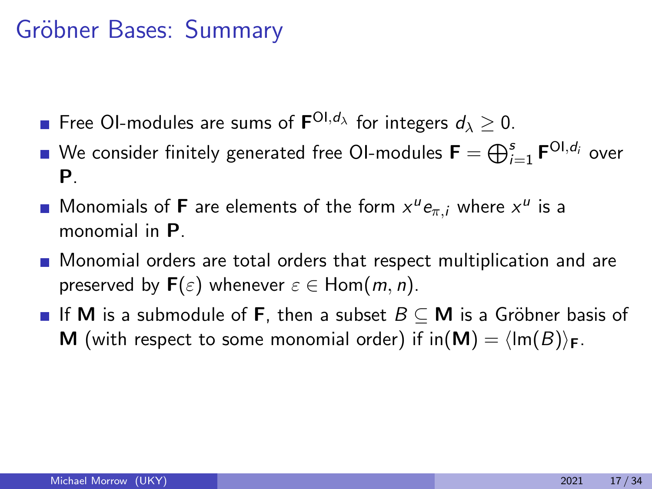- Free OI-modules are sums of  $\mathbf{F}^{\text{Ol,}d_\lambda}$  for integers  $d_\lambda \geq 0.$
- We consider finitely generated free OI-modules  $\textsf{\textbf{F}}=\bigoplus_{i=1}^s \textsf{\textbf{F}}^{\textsf{OI},d_i}$  over P.
- Monomials of **F** are elements of the form  $x^u e_{\pi,i}$  where  $x^u$  is a monomial in P.
- **Monomial orders are total orders that respect multiplication and are** preserved by  $F(\varepsilon)$  whenever  $\varepsilon \in \text{Hom}(m, n)$ .
- **If M** is a submodule of **F**, then a subset  $B \subseteq M$  is a Gröbner basis of **M** (with respect to some monomial order) if  $in(\mathbf{M}) = \langle Im(B) \rangle_F$ .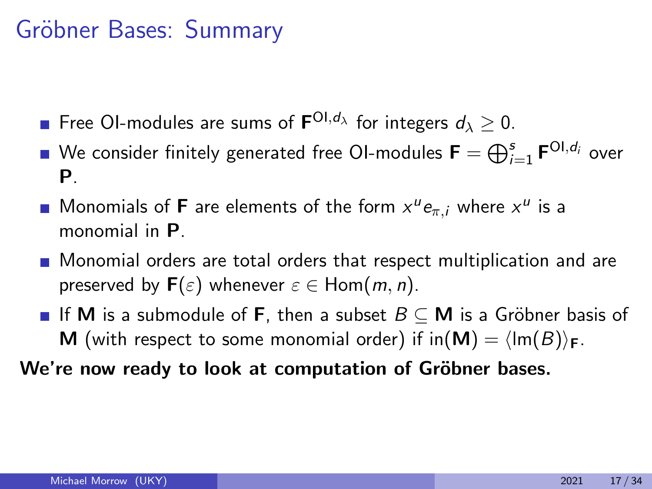- Free OI-modules are sums of  $\mathbf{F}^{\text{Ol,}d_\lambda}$  for integers  $d_\lambda \geq 0.$
- We consider finitely generated free OI-modules  $\textsf{\textbf{F}}=\bigoplus_{i=1}^s \textsf{\textbf{F}}^{\textsf{OI},d_i}$  over P.
- Monomials of **F** are elements of the form  $x^u e_{\pi,i}$  where  $x^u$  is a monomial in P.
- **Monomial orders are total orders that respect multiplication and are** preserved by  $F(\varepsilon)$  whenever  $\varepsilon \in \text{Hom}(m, n)$ .
- **If M** is a submodule of **F**, then a subset  $B \subseteq M$  is a Gröbner basis of **M** (with respect to some monomial order) if  $in(\mathbf{M}) = \langle Im(B) \rangle_F$ .

We're now ready to look at computation of Gröbner bases.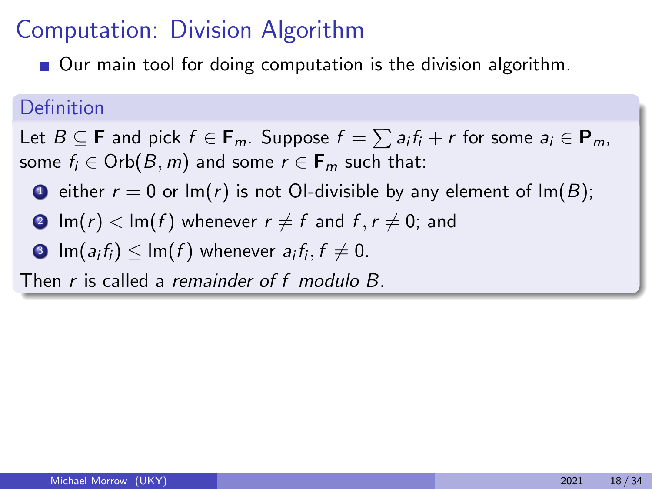■ Our main tool for doing computation is the division algorithm.

#### Definition

Let  $B \subseteq \mathbf{F}$  and pick  $f \in \mathbf{F}_m$ . Suppose  $f = \sum a_i f_i + r$  for some  $a_i \in \mathbf{P}_m$ , some  $f_i \in \text{Orb}(B, m)$  and some  $r \in \mathbf{F}_m$  such that:

- **1** either  $r = 0$  or  $\text{Im}(r)$  is not OI-divisible by any element of  $\text{Im}(B)$ ;
- **2**  $\text{Im}(r) < \text{Im}(f)$  whenever  $r \neq f$  and  $f, r \neq 0$ ; and
- $\textbf{3}$   $\textsf{Im}(a_{i}f_{i})\leq\textsf{Im}(f)$  whenever  $a_{i}f_{i},f\neq0.$

Then r is called a remainder of f modulo B.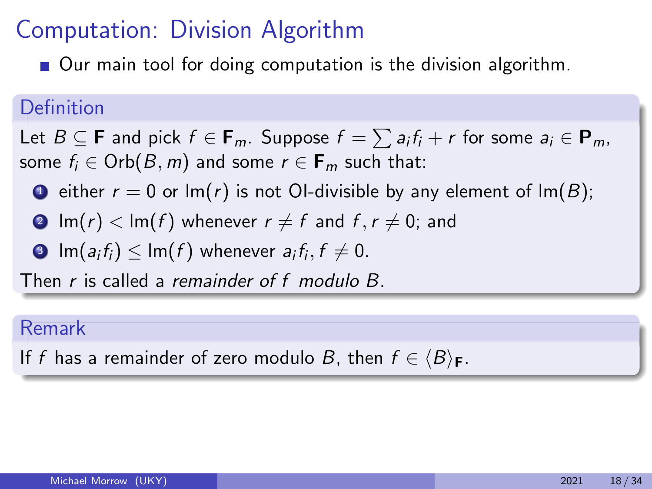■ Our main tool for doing computation is the division algorithm.

#### Definition

Let  $B \subseteq \mathbf{F}$  and pick  $f \in \mathbf{F}_m$ . Suppose  $f = \sum a_i f_i + r$  for some  $a_i \in \mathbf{P}_m$ , some  $f_i \in \text{Orb}(B, m)$  and some  $r \in \mathbf{F}_m$  such that:

- **1** either  $r = 0$  or  $\text{Im}(r)$  is not OI-divisible by any element of  $\text{Im}(B)$ ;
- **2**  $\text{Im}(r) < \text{Im}(f)$  whenever  $r \neq f$  and  $f, r \neq 0$ ; and
- $\textbf{3}$   $\textsf{Im}(a_{i}f_{i})\leq\textsf{Im}(f)$  whenever  $a_{i}f_{i},f\neq0.$

Then r is called a remainder of f modulo B.

#### Remark

If f has a remainder of zero modulo B, then  $f \in \langle B \rangle_F$ .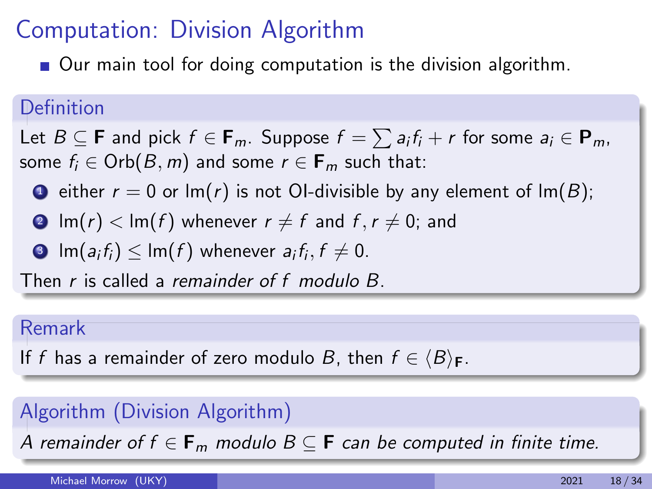■ Our main tool for doing computation is the division algorithm.

#### Definition

Let  $B \subseteq \mathbf{F}$  and pick  $f \in \mathbf{F}_m$ . Suppose  $f = \sum a_i f_i + r$  for some  $a_i \in \mathbf{P}_m$ , some  $f_i \in \text{Orb}(B, m)$  and some  $r \in \mathbf{F}_m$  such that:

- **1** either  $r = 0$  or  $\text{Im}(r)$  is not OI-divisible by any element of  $\text{Im}(B)$ ;
- **2**  $\text{Im}(r) < \text{Im}(f)$  whenever  $r \neq f$  and  $f, r \neq 0$ ; and
- $\textbf{3}$   $\textsf{Im}(a_{i}f_{i})\leq\textsf{Im}(f)$  whenever  $a_{i}f_{i},f\neq0.$

Then r is called a remainder of f modulo B.

#### Remark

If f has a remainder of zero modulo B, then  $f \in \langle B \rangle_F$ .

### Algorithm (Division Algorithm)

A remainder of  $f \in \mathbf{F}_m$  modulo  $B \subseteq \mathbf{F}$  can be computed in finite time.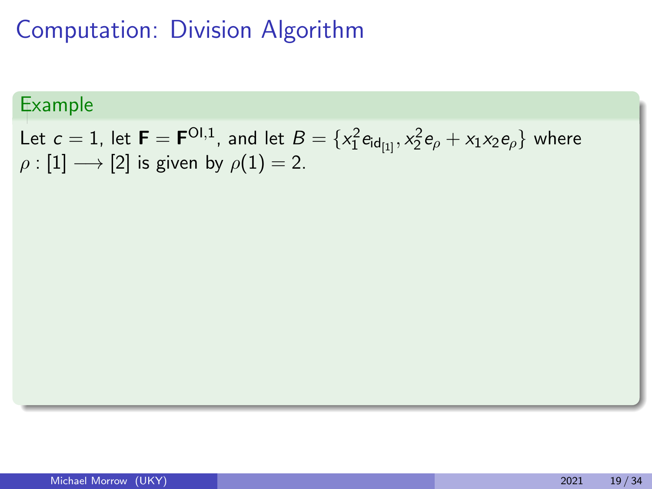### Example

Let  $c=1$ , let  $\textsf{F}=\textsf{F}^{\textsf{Ol},1}$ , and let  $B=\{x_1^2 \textsf{e}_{\textsf{ld}_{[1]}},x_2^2 \textsf{e}_{\rho}+x_1x_2\textsf{e}_{\rho}\}$  where  $\rho : [1] \longrightarrow [2]$  is given by  $\rho(1) = 2$ .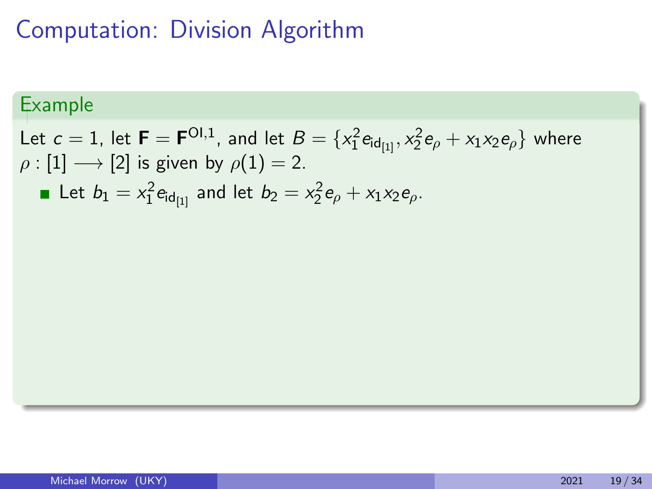### Example

Let  $c=1$ , let  $\textsf{F}=\textsf{F}^{\textsf{Ol},1}$ , and let  $B=\{x_1^2 \textsf{e}_{\textsf{ld}_{[1]}},x_2^2 \textsf{e}_{\rho}+x_1x_2\textsf{e}_{\rho}\}$  where  $\rho : [1] \longrightarrow [2]$  is given by  $\rho(1) = 2$ . Let  $b_1 = x_1^2 e_{\mathsf{id}_{[1]}}$  and let  $b_2 = x_2^2 e_{\rho} + x_1 x_2 e_{\rho}$ .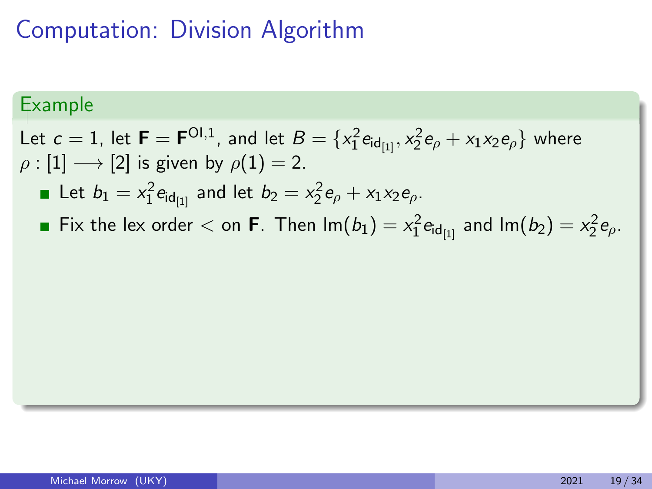### Example

Let  $c=1$ , let  $\textsf{F}=\textsf{F}^{\textsf{Ol},1}$ , and let  $B=\{x_1^2 \textsf{e}_{\textsf{ld}_{[1]}},x_2^2 \textsf{e}_{\rho}+x_1x_2\textsf{e}_{\rho}\}$  where  $\rho : [1] \longrightarrow [2]$  is given by  $\rho(1) = 2$ .

Let  $b_1 = x_1^2 e_{\mathsf{id}_{[1]}}$  and let  $b_2 = x_2^2 e_{\rho} + x_1 x_2 e_{\rho}$ .

Fix the lex order  $<$  on **F**. Then  $\textsf{Im}(b_1) = x_1^2 \textsf{e}_{\textsf{id}_{[1]}}$  and  $\textsf{Im}(b_2) = x_2^2 \textsf{e}_{\rho}.$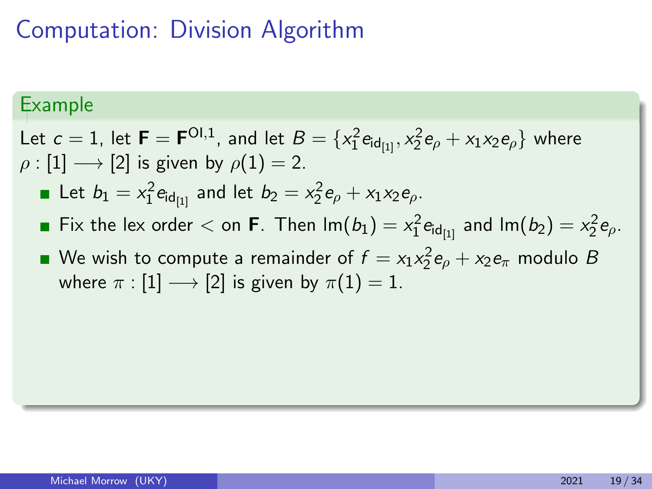#### Example

Let  $c=1$ , let  $\textsf{F}=\textsf{F}^{\textsf{Ol},1}$ , and let  $B=\{x_1^2 \textsf{e}_{\textsf{ld}_{[1]}},x_2^2 \textsf{e}_{\rho}+x_1x_2\textsf{e}_{\rho}\}$  where  $\rho : [1] \longrightarrow [2]$  is given by  $\rho(1) = 2$ .

- Let  $b_1 = x_1^2 e_{\mathsf{id}_{[1]}}$  and let  $b_2 = x_2^2 e_{\rho} + x_1 x_2 e_{\rho}$ .
- Fix the lex order  $<$  on **F**. Then  $\textsf{Im}(b_1) = x_1^2 \textsf{e}_{\textsf{id}_{[1]}}$  and  $\textsf{Im}(b_2) = x_2^2 \textsf{e}_{\rho}.$
- We wish to compute a remainder of  $f = x_1x_2^2e_{\rho} + x_2e_{\pi}$  modulo  $B$ where  $\pi : [1] \longrightarrow [2]$  is given by  $\pi(1) = 1$ .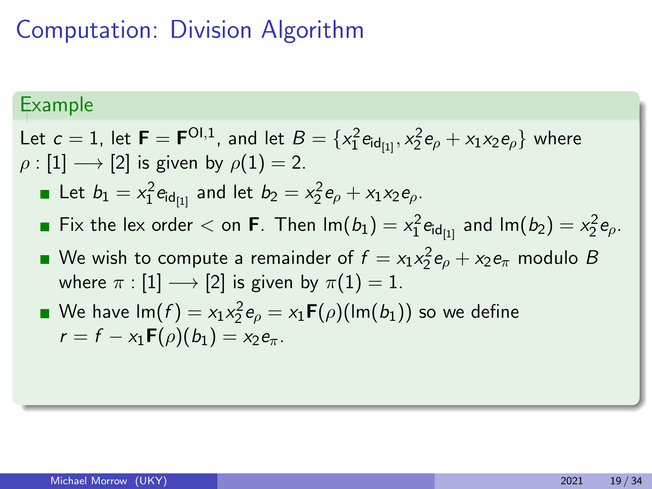#### Example

- Let  $c=1$ , let  $\textsf{F}=\textsf{F}^{\textsf{Ol},1}$ , and let  $B=\{x_1^2 \textsf{e}_{\textsf{ld}_{[1]}},x_2^2 \textsf{e}_{\rho}+x_1x_2\textsf{e}_{\rho}\}$  where  $\rho : [1] \longrightarrow [2]$  is given by  $\rho(1) = 2$ .
	- Let  $b_1 = x_1^2 e_{\mathsf{id}_{[1]}}$  and let  $b_2 = x_2^2 e_{\rho} + x_1 x_2 e_{\rho}$ .
	- Fix the lex order  $<$  on **F**. Then  $\textsf{Im}(b_1) = x_1^2 \textsf{e}_{\textsf{id}_{[1]}}$  and  $\textsf{Im}(b_2) = x_2^2 \textsf{e}_{\rho}.$
	- We wish to compute a remainder of  $f = x_1x_2^2e_{\rho} + x_2e_{\pi}$  modulo  $B$ where  $\pi : [1] \longrightarrow [2]$  is given by  $\pi(1) = 1$ .
	- We have  ${\sf Im}(f)=x_1x_2^2{\sf e}_{\rho}=x_1{\sf F}(\rho)({\sf Im}(b_1))$  so we define  $r = f - x_1 \mathbf{F}(\rho)(b_1) = x_2 e_\pi$ .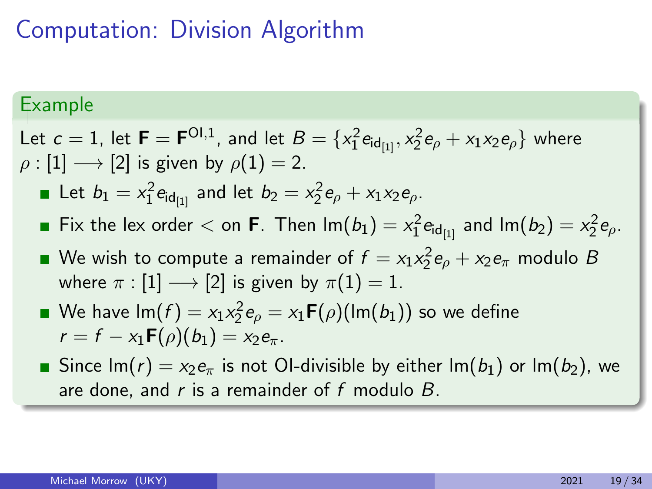#### Example

- Let  $c=1$ , let  $\textsf{F}=\textsf{F}^{\textsf{Ol},1}$ , and let  $B=\{x_1^2 \textsf{e}_{\textsf{ld}_{[1]}},x_2^2 \textsf{e}_{\rho}+x_1x_2\textsf{e}_{\rho}\}$  where  $\rho : [1] \longrightarrow [2]$  is given by  $\rho(1) = 2$ .
	- Let  $b_1 = x_1^2 e_{\mathsf{id}_{[1]}}$  and let  $b_2 = x_2^2 e_{\rho} + x_1 x_2 e_{\rho}$ .
	- Fix the lex order  $<$  on **F**. Then  $\textsf{Im}(b_1) = x_1^2 \textsf{e}_{\textsf{id}_{[1]}}$  and  $\textsf{Im}(b_2) = x_2^2 \textsf{e}_{\rho}.$
	- We wish to compute a remainder of  $f = x_1x_2^2e_{\rho} + x_2e_{\pi}$  modulo  $B$ where  $\pi : [1] \longrightarrow [2]$  is given by  $\pi(1) = 1$ .
	- We have  ${\sf Im}(f)=x_1x_2^2{\sf e}_{\rho}=x_1{\sf F}(\rho)({\sf Im}(b_1))$  so we define  $r = f - x_1 \mathbf{F}(\rho)(b_1) = x_2 e_\pi$ .
	- Since  $\text{Im}(r) = x_2 e_\pi$  is not OI-divisible by either  $\text{Im}(b_1)$  or  $\text{Im}(b_2)$ , we are done, and  $r$  is a remainder of  $f$  modulo  $B$ .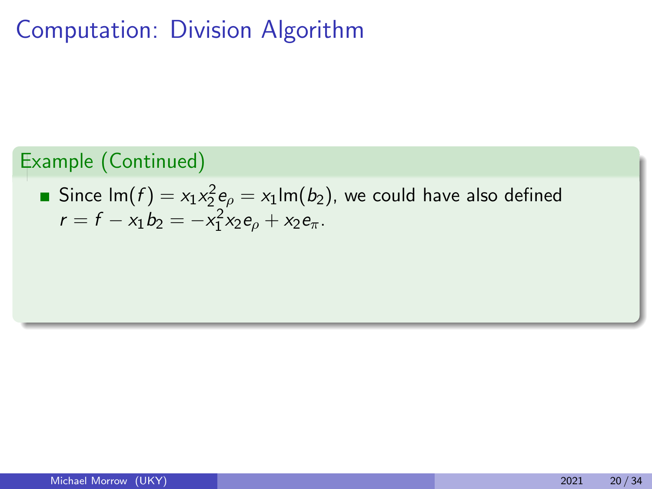### Example (Continued)

Since 
$$
\text{Im}(f) = x_1 x_2^2 e_\rho = x_1 \text{Im}(b_2)
$$
, we could have also defined  
 $r = f - x_1 b_2 = -x_1^2 x_2 e_\rho + x_2 e_\pi$ .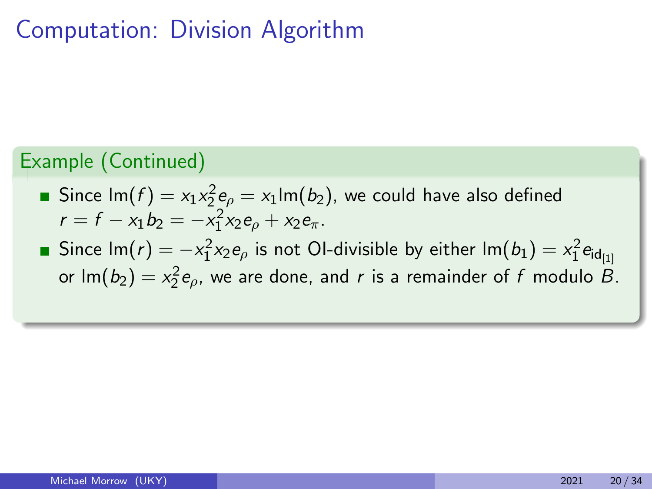### Example (Continued)

- Since lm $(f)=x_1x_2^2$ e $_{\rho}=x_1$ lm $(b_2)$ , we could have also defined  $r = f - x_1 b_2 = -x_1^2 x_2 e_\rho + x_2 e_\pi.$
- Since lm $(r)=-\mathsf{x}_1^2\mathsf{x}_2\mathsf{e}_{\rho}$  is not OI-divisible by either lm $(b_1)=\mathsf{x}_1^2\mathsf{e}_{\mathsf{id}_{[1]}}$ or lm $(b_2) = x_2^2 e_{\rho}$ , we are done, and r is a remainder of f modulo B.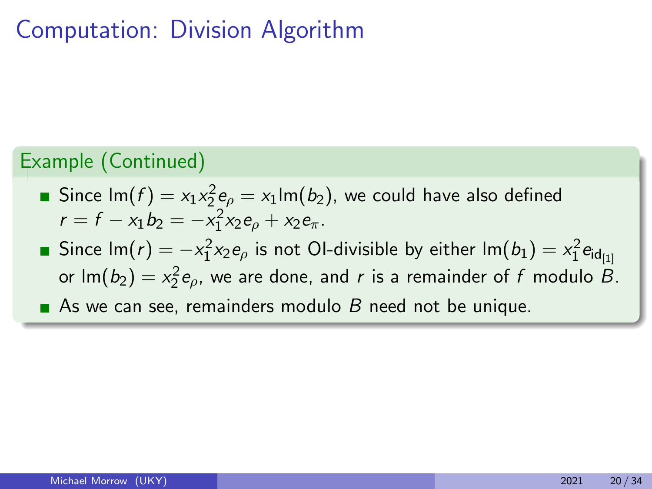### Example (Continued)

- Since lm $(f)=x_1x_2^2$ e $_{\rho}=x_1$ lm $(b_2)$ , we could have also defined  $r = f - x_1 b_2 = -x_1^2 x_2 e_\rho + x_2 e_\pi.$
- Since lm $(r)=-\mathsf{x}_1^2\mathsf{x}_2\mathsf{e}_{\rho}$  is not OI-divisible by either lm $(b_1)=\mathsf{x}_1^2\mathsf{e}_{\mathsf{id}_{[1]}}$ or lm $(b_2) = x_2^2 e_{\rho}$ , we are done, and r is a remainder of f modulo B. As we can see, remainders modulo  $B$  need not be unique.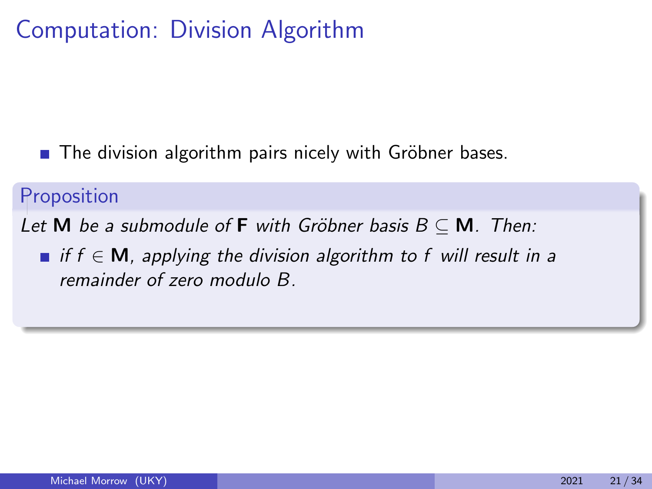$\blacksquare$  The division algorithm pairs nicely with Gröbner bases.

### Proposition

Let M be a submodule of F with Gröbner basis  $B \subseteq M$ . Then:

 $\blacksquare$  if  $f \in M$ , applying the division algorithm to f will result in a remainder of zero modulo B.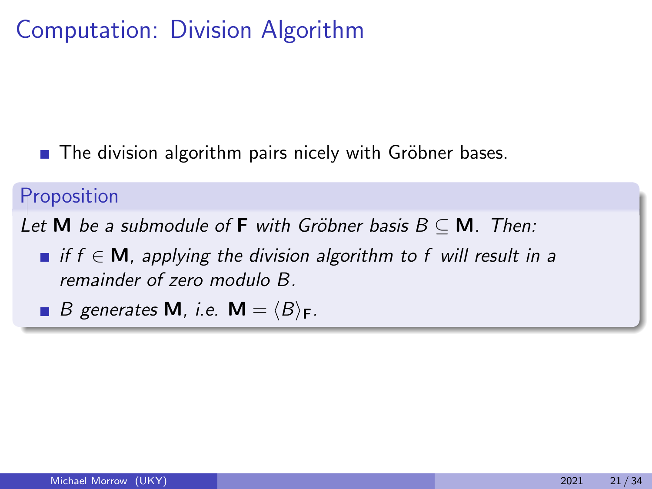$\blacksquare$  The division algorithm pairs nicely with Gröbner bases.

### Proposition

Let M be a submodule of F with Gröbner basis  $B \subseteq M$ . Then:

- $\blacksquare$  if  $f \in M$ , applying the division algorithm to f will result in a remainder of zero modulo B.
- **B** generates **M**, i.e. **M** =  $\langle B \rangle_F$ .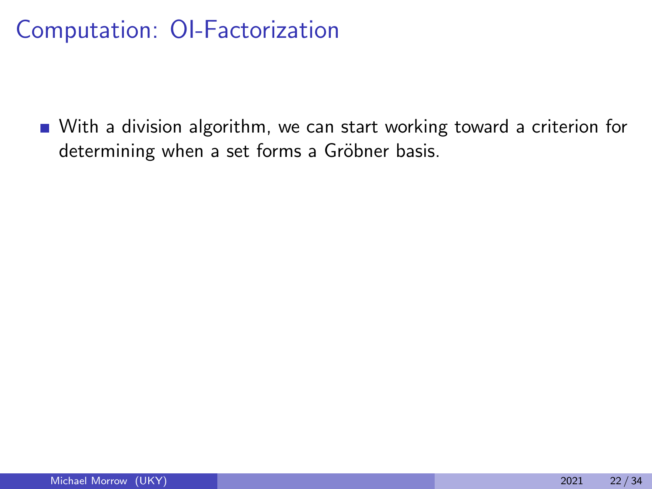■ With a division algorithm, we can start working toward a criterion for determining when a set forms a Gröbner basis.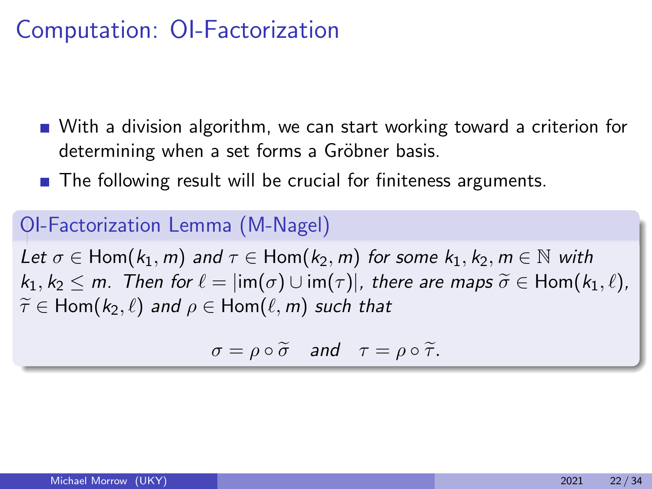- With a division algorithm, we can start working toward a criterion for determining when a set forms a Gröbner basis.
- The following result will be crucial for finiteness arguments.

### OI-Factorization Lemma (M-Nagel)

Let  $\sigma \in \text{Hom}(k_1, m)$  and  $\tau \in \text{Hom}(k_2, m)$  for some  $k_1, k_2, m \in \mathbb{N}$  with  $k_1, k_2 \leq m$ . Then for  $\ell = \lim(\sigma) \cup \lim(\tau)$ , there are maps  $\widetilde{\sigma} \in \text{Hom}(k_1, \ell)$ ,  $\widetilde{\tau} \in$  Hom( $k_2, \ell$ ) and  $\rho \in$  Hom( $\ell, m$ ) such that

$$
\sigma = \rho \circ \widetilde{\sigma} \quad \text{and} \quad \tau = \rho \circ \widetilde{\tau}.
$$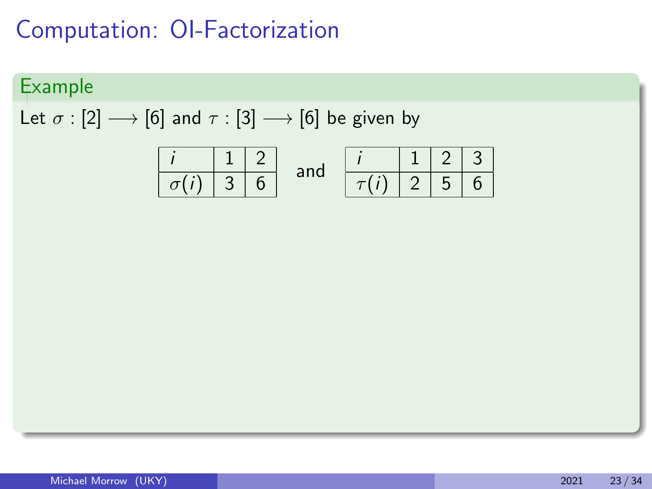### Example

Let  $\sigma$  : [2]  $\longrightarrow$  [6] and  $\tau$  : [3]  $\longrightarrow$  [6] be given by

| $i$         | $1$ | $2$ | $i$ | $1$           | $2$ | $3$ |     |
|-------------|-----|-----|-----|---------------|-----|-----|-----|
| $\sigma(i)$ | $3$ | $6$ | and | $\boxed{7(i)$ | $2$ | $5$ | $6$ |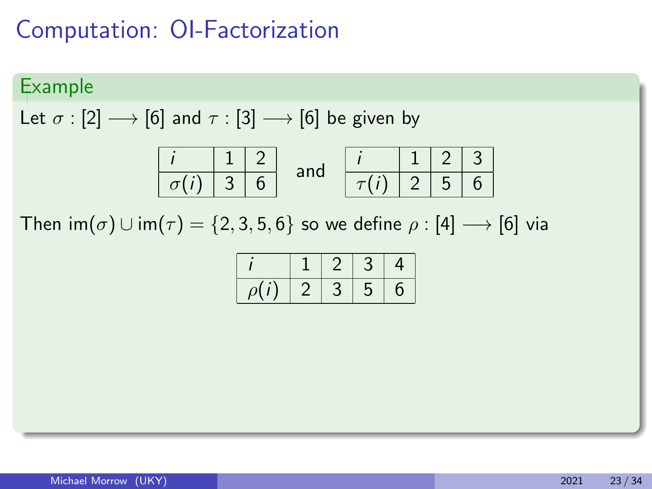### Example

Let  $\sigma$  : [2]  $\longrightarrow$  [6] and  $\tau$  : [3]  $\longrightarrow$  [6] be given by

Then  $\text{im}(\sigma) \cup \text{im}(\tau) = \{2, 3, 5, 6\}$  so we define  $\rho : [4] \longrightarrow [6]$  via

|        |          |   | 4 |
|--------|----------|---|---|
| $\rho$ | <u>.</u> | C | 6 |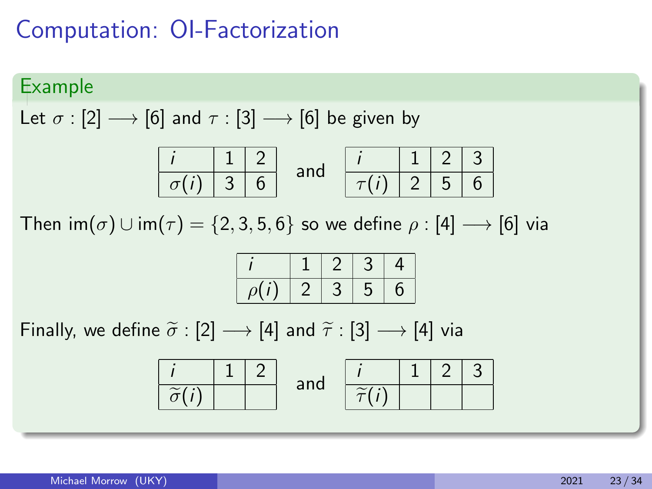#### Example

Let  $\sigma$  : [2]  $\longrightarrow$  [6] and  $\tau$  : [3]  $\longrightarrow$  [6] be given by

Then  $\text{im}(\sigma) \cup \text{im}(\tau) = \{2, 3, 5, 6\}$  so we define  $\rho : [4] \longrightarrow [6]$  via

| $\overline{\rho}$ |  | э | რ |
|-------------------|--|---|---|

| $i$                 | 1   | 2                 | and | $i$ | 1 | 2 | 3 |
|---------------------|-----|-------------------|-----|-----|---|---|---|
| $\tilde{\sigma}(i)$ | and | $\tilde{\tau}(i)$ |     |     |   |   |   |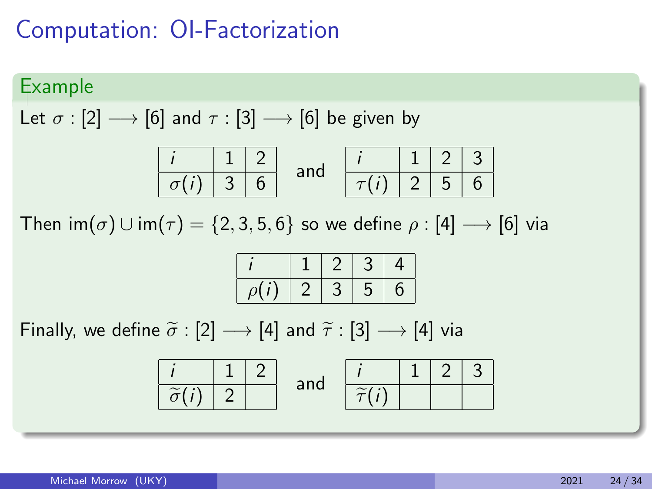#### Example

Let  $\sigma$  : [2]  $\longrightarrow$  [6] and  $\tau$  : [3]  $\longrightarrow$  [6] be given by

Then  $\text{im}(\sigma) \cup \text{im}(\tau) = \{2, 3, 5, 6\}$  so we define  $\rho : [4] \longrightarrow [6]$  via

| $\overline{\rho}$ |  | э | რ |
|-------------------|--|---|---|

| $i$                 | $1$ | $2$ | $i$               | $1$ | $2$ | $3$ |
|---------------------|-----|-----|-------------------|-----|-----|-----|
| $\tilde{\sigma}(i)$ | $2$ | and | $\tilde{\tau}(i)$ | 1   | $2$ | $3$ |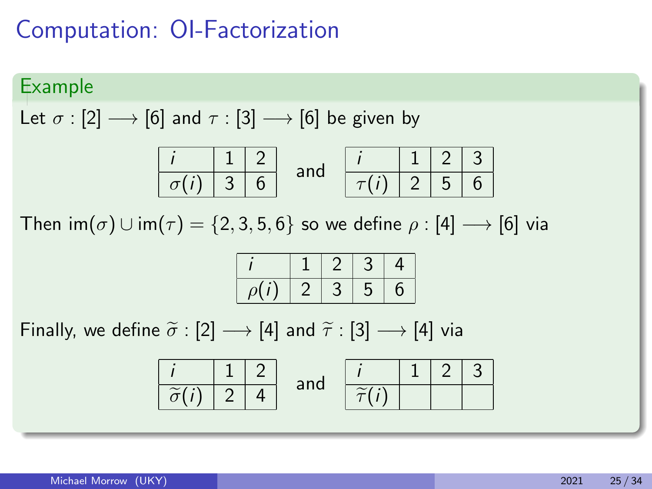#### Example

Let  $\sigma$  : [2]  $\longrightarrow$  [6] and  $\tau$  : [3]  $\longrightarrow$  [6] be given by

Then  $\text{im}(\sigma) \cup \text{im}(\tau) = \{2, 3, 5, 6\}$  so we define  $\rho : [4] \longrightarrow [6]$  via

|           | <u>.</u> | Ľ.     | л |
|-----------|----------|--------|---|
| $\rho(r)$ |          | −<br>C | O |

| $i$                 | $1$ | $2$ | $i$ | $1$               | $2$ | $3$ |     |
|---------------------|-----|-----|-----|-------------------|-----|-----|-----|
| $\tilde{\sigma}(i)$ | $2$ | $4$ | and | $\tilde{\tau}(i)$ | $1$ | $2$ | $3$ |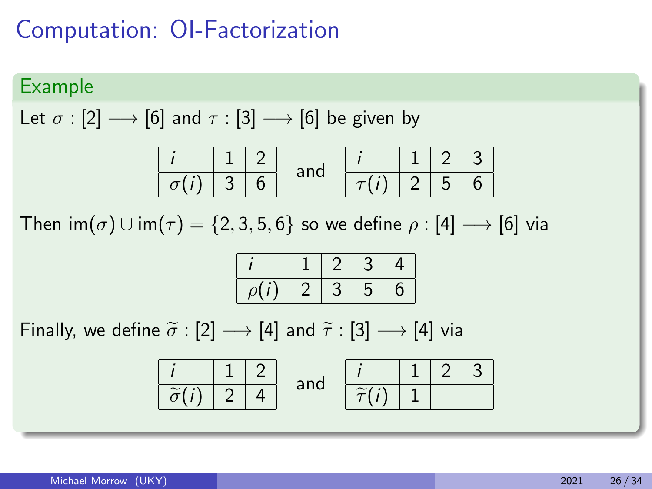#### Example

Let  $\sigma$  : [2]  $\longrightarrow$  [6] and  $\tau$  : [3]  $\longrightarrow$  [6] be given by

Then  $\text{im}(\sigma) \cup \text{im}(\tau) = \{2, 3, 5, 6\}$  so we define  $\rho : [4] \longrightarrow [6]$  via

|          |  |        | 4 |
|----------|--|--------|---|
| $\rho$ . |  | ∍<br>C | b |

| $i$                 | $1$ | $2$ | $i$ | $i$               | $1$ | $2$ | $3$ |
|---------------------|-----|-----|-----|-------------------|-----|-----|-----|
| $\tilde{\sigma}(i)$ | $2$ | $4$ | and | $\tilde{\tau}(i)$ | $1$ | $2$ | $3$ |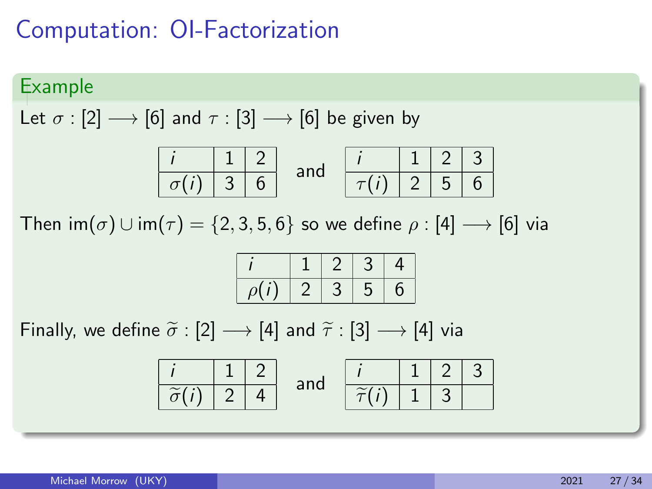#### Example

Let  $\sigma$  : [2]  $\longrightarrow$  [6] and  $\tau$  : [3]  $\longrightarrow$  [6] be given by

Then  $\text{im}(\sigma) \cup \text{im}(\tau) = \{2, 3, 5, 6\}$  so we define  $\rho : [4] \longrightarrow [6]$  via

|          |  |         | 4 |
|----------|--|---------|---|
| $\Omega$ |  | т.<br>C | O |

| $i$                 | $1$ | $2$ | $i$ | $i$               | $1$ | $2$ | $3$ |
|---------------------|-----|-----|-----|-------------------|-----|-----|-----|
| $\tilde{\sigma}(i)$ | $2$ | $4$ | and | $\tilde{\tau}(i)$ | $1$ | $3$ |     |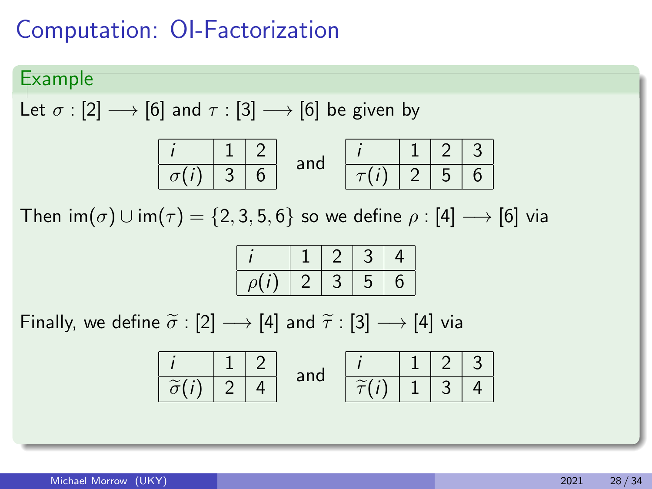### Example

Let  $\sigma$  : [2]  $\longrightarrow$  [6] and  $\tau$  : [3]  $\longrightarrow$  [6] be given by

Then  $\text{im}(\sigma) \cup \text{im}(\tau) = \{2, 3, 5, 6\}$  so we define  $\rho : [4] \longrightarrow [6]$  via

|  | 3 | J | П |
|--|---|---|---|

| $i$                 | $1$ | $2$ | $i$ | $i$               | $1$ | $2$ | $3$ |
|---------------------|-----|-----|-----|-------------------|-----|-----|-----|
| $\tilde{\sigma}(i)$ | $2$ | $4$ | and | $\tilde{\tau}(i)$ | $1$ | $3$ | $4$ |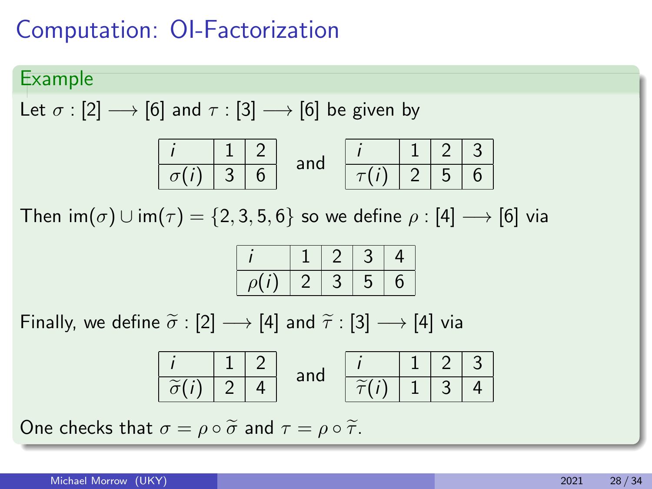### Example

Let  $\sigma$  : [2]  $\longrightarrow$  [6] and  $\tau$  : [3]  $\longrightarrow$  [6] be given by

Then  $\text{im}(\sigma) \cup \text{im}(\tau) = \{2, 3, 5, 6\}$  so we define  $\rho : [4] \longrightarrow [6]$  via

|  | 3 | J | П |
|--|---|---|---|

Finally, we define  $\tilde{\sigma}$  : [2]  $\longrightarrow$  [4] and  $\tilde{\tau}$  : [3]  $\longrightarrow$  [4] via

| $i$                     | $1$ | $2$ | $i$ | $i$                   | $1$ | $2$ | $3$ |
|-------------------------|-----|-----|-----|-----------------------|-----|-----|-----|
| $\widetilde{\sigma}(i)$ | $2$ | $4$ | and | $\widetilde{\tau}(i)$ | $1$ | $3$ | $4$ |

One checks that  $\sigma = \rho \circ \tilde{\sigma}$  and  $\tau = \rho \circ \tilde{\tau}$ .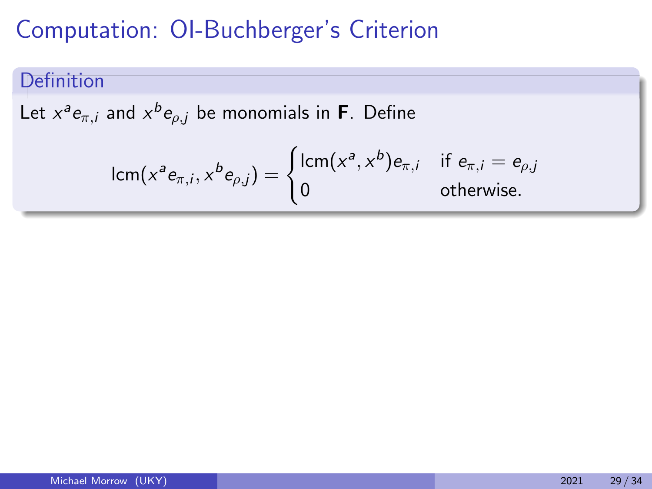## Definition

Let  $x^a e_{\pi,i}$  and  $x^b e_{\rho,j}$  be monomials in **F**. Define

$$
\operatorname{lcm}(x^a e_{\pi,i}, x^b e_{\rho,j}) = \begin{cases} \operatorname{lcm}(x^a, x^b) e_{\pi,i} & \text{if } e_{\pi,i} = e_{\rho,j} \\ 0 & \text{otherwise.} \end{cases}
$$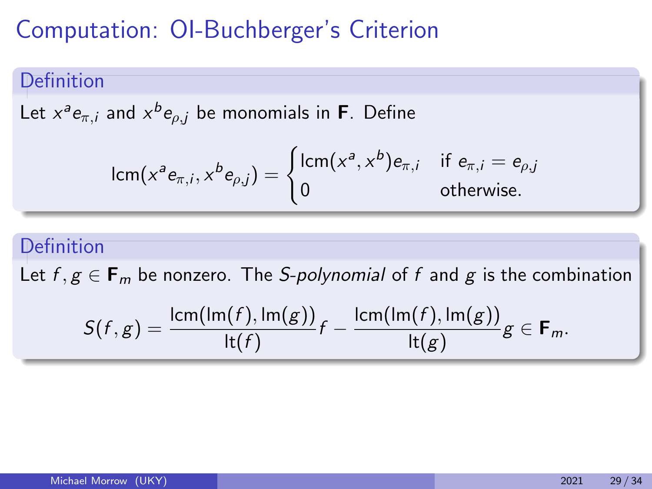### Definition

Let  $x^a e_{\pi,i}$  and  $x^b e_{\rho,j}$  be monomials in **F**. Define

$$
\operatorname{lcm} (x^a e_{\pi,i}, x^b e_{\rho,j}) = \begin{cases} \operatorname{lcm} (x^a, x^b) e_{\pi,i} & \text{if } e_{\pi,i} = e_{\rho,j} \\ 0 & \text{otherwise.} \end{cases}
$$

### Definition

Let  $f, g \in \mathbf{F}_m$  be nonzero. The S-polynomial of f and g is the combination

$$
S(f,g)=\frac{\operatorname{lcm}(\operatorname{Im}(f),\operatorname{Im}(g))}{\operatorname{lt}(f)}f-\frac{\operatorname{lcm}(\operatorname{Im}(f),\operatorname{Im}(g))}{\operatorname{lt}(g)}g\in\mathsf{F}_m.
$$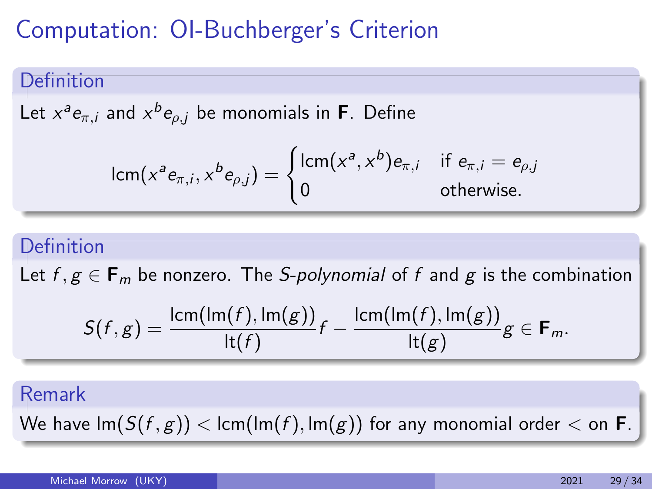### Definition

Let  $x^a e_{\pi,i}$  and  $x^b e_{\rho,j}$  be monomials in **F**. Define

$$
\operatorname{lcm} (x^a e_{\pi,i}, x^b e_{\rho,j}) = \begin{cases} \operatorname{lcm} (x^a, x^b) e_{\pi,i} & \text{if } e_{\pi,i} = e_{\rho,j} \\ 0 & \text{otherwise.} \end{cases}
$$

### Definition

Let  $f, g \in \mathbf{F}_m$  be nonzero. The S-polynomial of f and g is the combination

$$
S(f,g)=\frac{\operatorname{lcm}(\operatorname{Im}(f),\operatorname{Im}(g))}{\operatorname{lt}(f)}f-\frac{\operatorname{lcm}(\operatorname{Im}(f),\operatorname{Im}(g))}{\operatorname{lt}(g)}g\in\mathbf{F}_m.
$$

#### Remark

We have  $Im(S(f, g)) < lcm(Im(f), Im(g))$  for any monomial order  $\lt$  on **F**.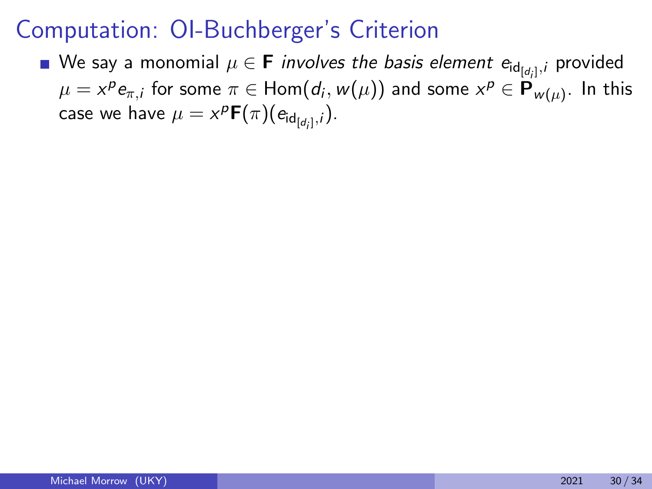We say a monomial  $\mu \in \mathbf{F}$  *involves the basis element e*<sub>id<sub>[dj]</sub>, provided</sub>  $\mu=x^pe_{\pi,i}$  for some  $\pi\in{\sf Hom}(d_i,w(\mu))$  and some  $x^p\in{\sf P}_{w(\mu)}.$  In this case we have  $\mu = x^{\rho }\mathsf{F}(\pi ) (e_{\mathsf{id}_{[d_i]} ,i}).$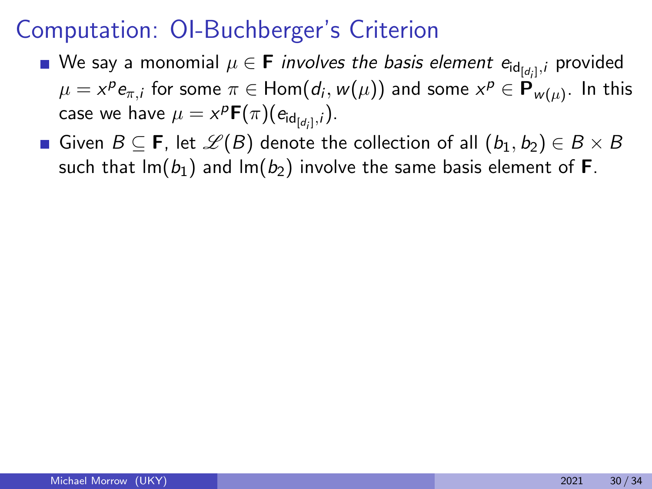- We say a monomial  $\mu \in \mathbf{F}$  *involves the basis element e*<sub>id<sub>[dj]</sub>, provided</sub>  $\mu=x^pe_{\pi,i}$  for some  $\pi\in{\sf Hom}(d_i,w(\mu))$  and some  $x^p\in{\sf P}_{w(\mu)}.$  In this case we have  $\mu = x^{\rho }\mathsf{F}(\pi ) (e_{\mathsf{id}_{[d_i]} ,i}).$
- **■** Given  $B \subseteq$  **F**, let  $\mathscr{L}(B)$  denote the collection of all  $(b_1, b_2) \in B \times B$ such that  $Im(b_1)$  and  $Im(b_2)$  involve the same basis element of **F**.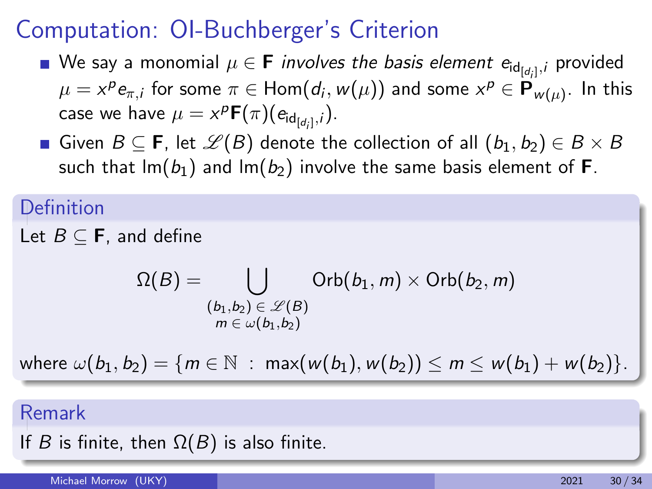- We say a monomial  $\mu \in \mathbf{F}$  *involves the basis element e*<sub>id<sub>[dj]</sub>, provided</sub>  $\mu=x^pe_{\pi,i}$  for some  $\pi\in{\sf Hom}(d_i,w(\mu))$  and some  $x^p\in{\sf P}_{w(\mu)}.$  In this case we have  $\mu = x^{\rho }\mathsf{F}(\pi ) (e_{\mathsf{id}_{[d_i]} ,i}).$
- **■** Given  $B \subseteq$  **F**, let  $\mathscr{L}(B)$  denote the collection of all  $(b_1, b_2) \in B \times B$ such that  $Im(b_1)$  and  $Im(b_2)$  involve the same basis element of **F**.

#### Definition

Let  $B \subseteq \mathbf{F}$ , and define

$$
\Omega(B) = \bigcup_{\substack{(b_1,b_2) \in \mathscr{L}(B) \\ m \in \omega(b_1,b_2)}} \mathsf{Orb}(b_1,m) \times \mathsf{Orb}(b_2,m)
$$

where  $\omega(b_1, b_2) = \{m \in \mathbb{N} : \max(w(b_1), w(b_2)) \le m \le w(b_1) + w(b_2)\}.$ 

### Remark

If B is finite, then  $\Omega(B)$  is also finite.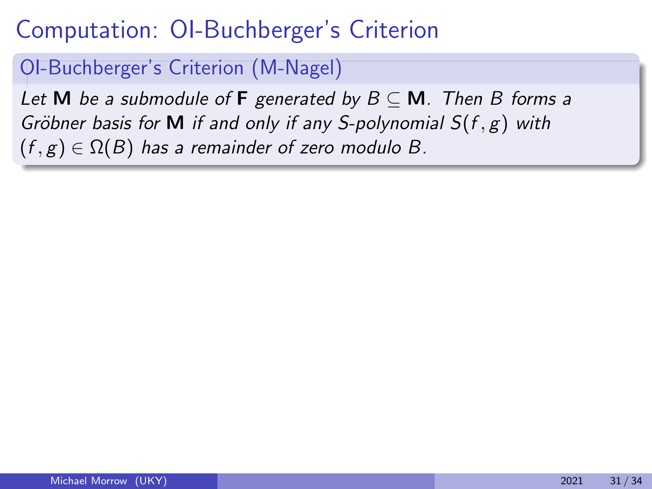### OI-Buchberger's Criterion (M-Nagel)

Let M be a submodule of F generated by  $B \subseteq M$ . Then B forms a Gröbner basis for M if and only if any S-polynomial  $S(f, g)$  with  $(f, g) \in \Omega(B)$  has a remainder of zero modulo B.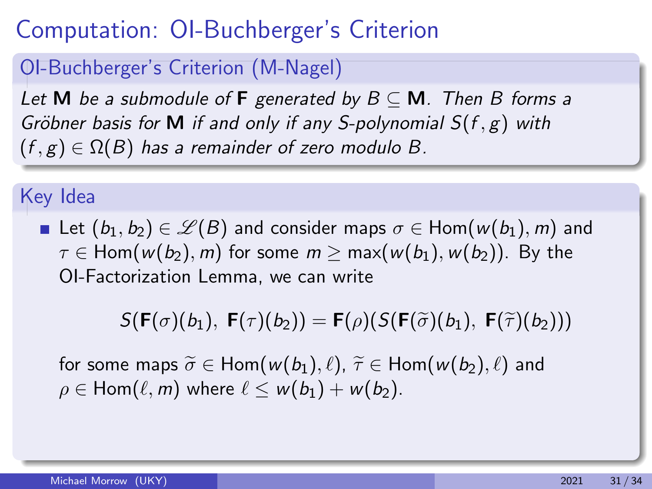## OI-Buchberger's Criterion (M-Nagel)

Let M be a submodule of F generated by  $B \subseteq M$ . Then B forms a Gröbner basis for M if and only if any S-polynomial  $S(f, g)$  with  $(f, g) \in \Omega(B)$  has a remainder of zero modulo B.

### Key Idea

**■** Let  $(b_1, b_2) \in \mathcal{L}(B)$  and consider maps  $\sigma \in \text{Hom}(w(b_1), m)$  and  $\tau \in$  Hom( $w(b_2)$ , m) for some  $m \geq$  max( $w(b_1)$ ,  $w(b_2)$ ). By the OI-Factorization Lemma, we can write

$$
S(\mathbf{F}(\sigma)(b_1),\ \mathbf{F}(\tau)(b_2)) = \mathbf{F}(\rho)(S(\mathbf{F}(\widetilde{\sigma})(b_1),\ \mathbf{F}(\widetilde{\tau})(b_2)))
$$

for some maps  $\widetilde{\sigma} \in$  Hom $(w(b_1), \ell), \widetilde{\tau} \in$  Hom $(w(b_2), \ell)$  and  $\rho \in$  Hom $(\ell, m)$  where  $\ell \leq w(b_1) + w(b_2)$ .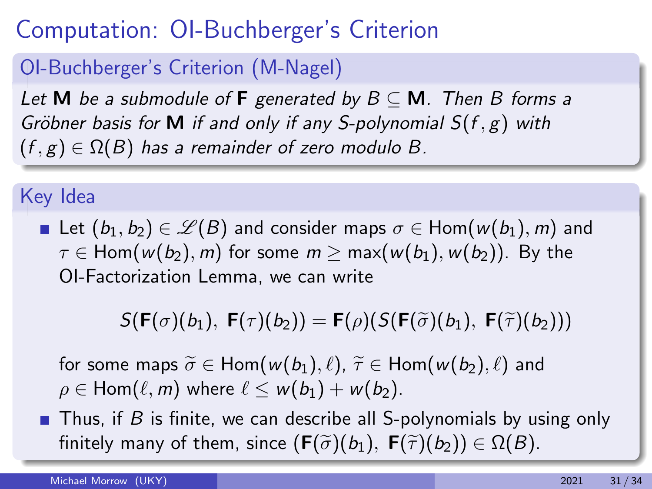## OI-Buchberger's Criterion (M-Nagel)

Let M be a submodule of F generated by  $B \subseteq M$ . Then B forms a Gröbner basis for M if and only if any S-polynomial  $S(f, g)$  with  $(f, g) \in \Omega(B)$  has a remainder of zero modulo B.

## Key Idea

**■** Let  $(b_1, b_2) \in \mathcal{L}(B)$  and consider maps  $\sigma \in \text{Hom}(w(b_1), m)$  and  $\tau \in$  Hom( $w(b_2)$ , m) for some  $m \geq$  max( $w(b_1)$ ,  $w(b_2)$ ). By the OI-Factorization Lemma, we can write

$$
S(\mathbf{F}(\sigma)(b_1), \ \mathbf{F}(\tau)(b_2)) = \mathbf{F}(\rho)(S(\mathbf{F}(\widetilde{\sigma})(b_1), \ \mathbf{F}(\widetilde{\tau})(b_2)))
$$

for some maps  $\widetilde{\sigma} \in$  Hom $(w(b_1), \ell), \widetilde{\tau} \in$  Hom $(w(b_2), \ell)$  and  $\rho \in$  Hom( $\ell, m$ ) where  $\ell \leq w(b_1) + w(b_2)$ .

**Thus, if B is finite, we can describe all S-polynomials by using only** finitely many of them, since  $(\mathbf{F}(\widetilde{\sigma})(b_1), \mathbf{F}(\widetilde{\tau})(b_2)) \in \Omega(B)$ .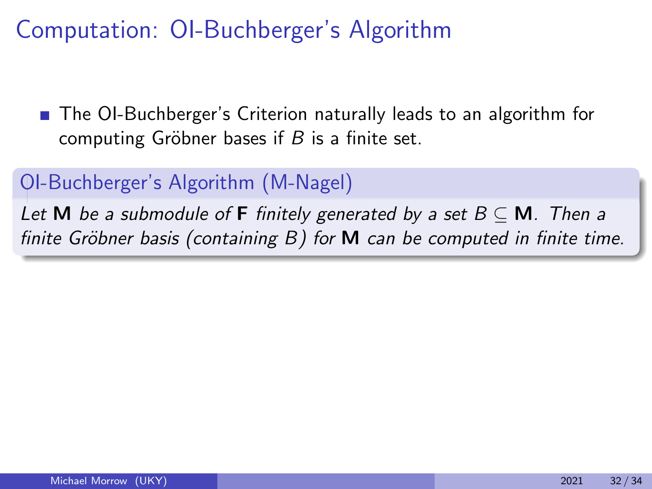■ The OI-Buchberger's Criterion naturally leads to an algorithm for computing Gröbner bases if  $B$  is a finite set.

### OI-Buchberger's Algorithm (M-Nagel)

Let M be a submodule of F finitely generated by a set  $B \subseteq M$ . Then a finite Gröbner basis (containing  $B$ ) for  $M$  can be computed in finite time.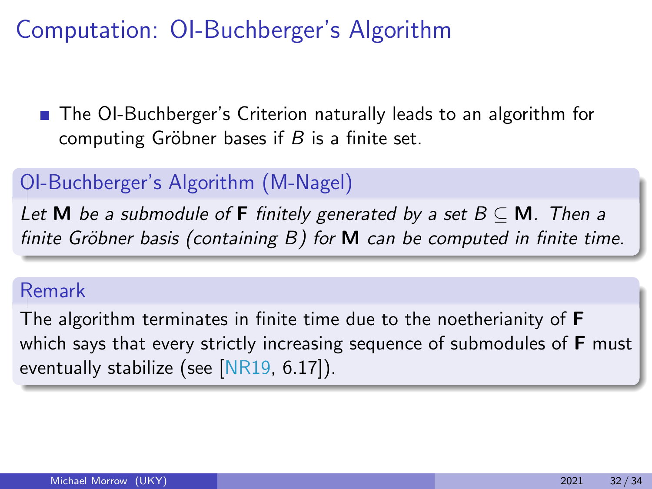■ The OI-Buchberger's Criterion naturally leads to an algorithm for computing Gröbner bases if  $B$  is a finite set.

### OI-Buchberger's Algorithm (M-Nagel)

Let M be a submodule of F finitely generated by a set  $B \subseteq M$ . Then a finite Gröbner basis (containing  $B$ ) for  $M$  can be computed in finite time.

### Remark

The algorithm terminates in finite time due to the noetherianity of F which says that every strictly increasing sequence of submodules of **F** must eventually stabilize (see [\[NR19,](#page-95-0) 6.17]).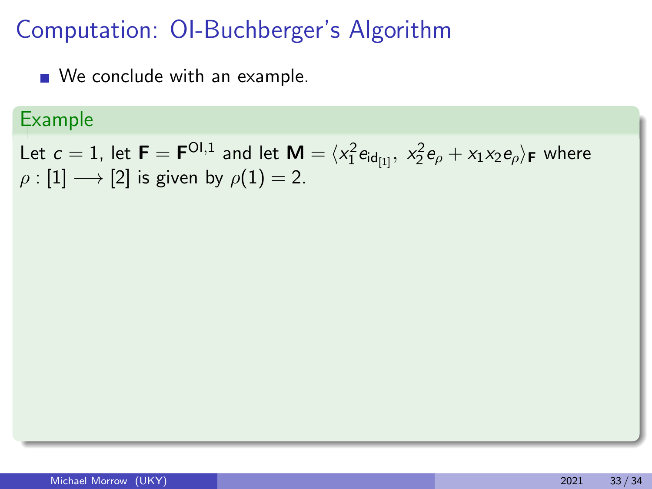■ We conclude with an example.

### Example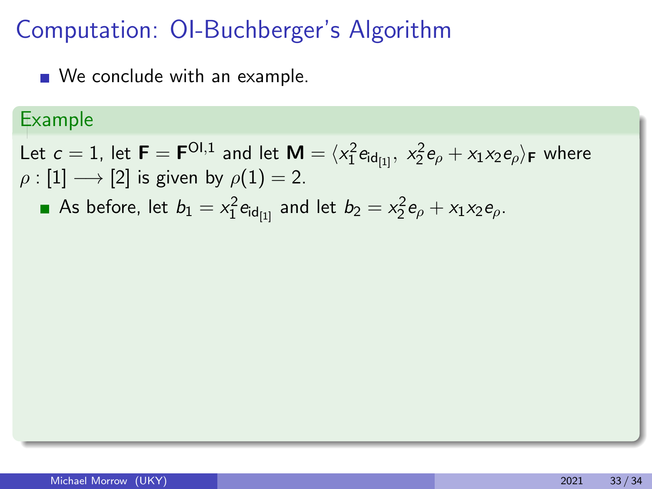We conclude with an example.

### Example

Let  $c=1$ , let  $\bm{\mathsf{F}}=\bm{\mathsf{F}}^{\sf Ol,1}$  and let  $\bm{\mathsf{M}}=\langle x_1^2\bm{\mathsf{e}}_{\mathsf{id}_{[1]}},\; x_2^2\bm{\mathsf{e}}_\rho+x_1x_2\bm{\mathsf{e}}_\rho\rangle_{\bm{\mathsf{F}}}$  where  $\rho : [1] \longrightarrow [2]$  is given by  $\rho(1) = 2$ .

As before, let  $b_1 = x_1^2 e_{\mathsf{id}_{[1]}}$  and let  $b_2 = x_2^2 e_{\rho} + x_1 x_2 e_{\rho}.$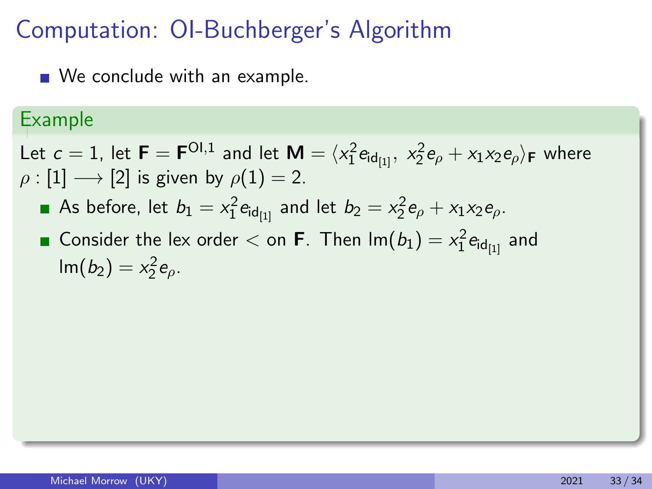■ We conclude with an example.

### Example

- As before, let  $b_1 = x_1^2 e_{\mathsf{id}_{[1]}}$  and let  $b_2 = x_2^2 e_{\rho} + x_1 x_2 e_{\rho}.$
- Consider the lex order  $<$  on **F**. Then  $\mathsf{Im}(b_1) = x_1^2 \mathsf{e}_{\mathsf{id}_{[1]}}$  and  $\text{Im}(b_2) = x_2^2 e_{\rho}.$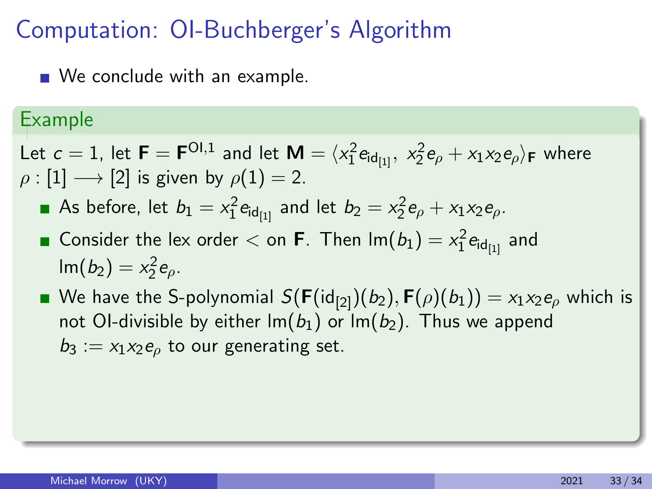■ We conclude with an example.

### Example

- As before, let  $b_1 = x_1^2 e_{\mathsf{id}_{[1]}}$  and let  $b_2 = x_2^2 e_{\rho} + x_1 x_2 e_{\rho}.$
- Consider the lex order  $<$  on **F**. Then  $\mathsf{Im}(b_1) = x_1^2 \mathsf{e}_{\mathsf{id}_{[1]}}$  and  $\text{Im}(b_2) = x_2^2 e_{\rho}.$
- We have the S-polynomial  $S(F(\text{id}_{[2]})(b_2), F(\rho)(b_1)) = x_1x_2e_\rho$  which is not OI-divisible by either  $Im(b_1)$  or  $Im(b_2)$ . Thus we append  $b_3 := x_1x_2e_0$  to our generating set.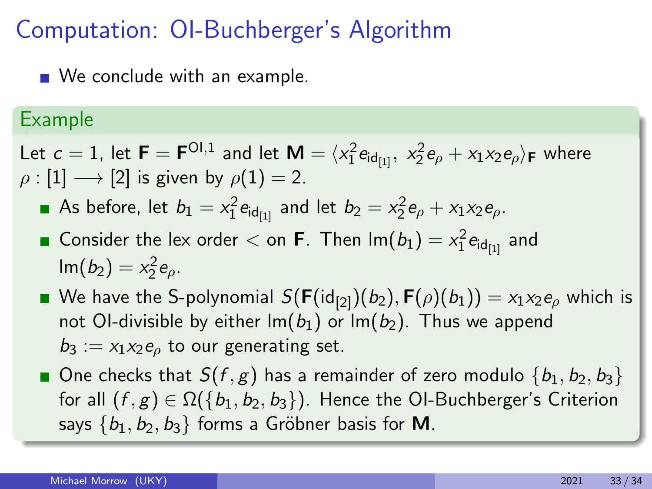■ We conclude with an example.

### Example

- As before, let  $b_1 = x_1^2 e_{\mathsf{id}_{[1]}}$  and let  $b_2 = x_2^2 e_{\rho} + x_1 x_2 e_{\rho}.$
- Consider the lex order  $<$  on **F**. Then  $\mathsf{Im}(b_1) = x_1^2 \mathsf{e}_{\mathsf{id}_{[1]}}$  and  $\text{Im}(b_2) = x_2^2 e_{\rho}.$
- We have the S-polynomial  $S(F(\text{id}_{[2]})(b_2), F(\rho)(b_1)) = x_1x_2e_\rho$  which is not OI-divisible by either  $Im(b_1)$  or  $Im(b_2)$ . Thus we append  $b_3 := x_1x_2e_0$  to our generating set.
- One checks that  $S(f, g)$  has a remainder of zero modulo  $\{b_1, b_2, b_3\}$ for all  $(f, g) \in \Omega({b_1, b_2, b_3})$ . Hence the OI-Buchberger's Criterion says  ${b_1, b_2, b_3}$  forms a Gröbner basis for M.